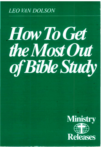### **LEO VAN DOLSON**

# **How To Get** the Most Out of Bible Study

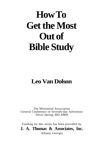## **How To Get the Most Out of Bible Study**

### **Leo Van Dolson**

The Ministerial Association General Conference of Seventh-day Adventists Silver Spring, MD 20904

Funding for this series has been provided by **J. A. Thomas & Associates, Inc.**  Atlanta, Georgia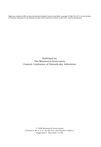Bible texts credited to RSV are from the Revised Standard Version of the Bible, copyright ©1946,1952,1971, by the Division<br>of Christian Education of the National Council of the Churches of Christ in the U.S.A. Used by perm

Published by The Ministerial Association General Conference of Seventh-day Adventists

© 1996 Ministerial Association Printed in the U.S.A. by Review and Herald Graphics Hagerstown, Maryland 21740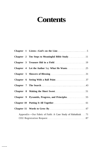### **Contents**

|  | Chapter 7 The Search 23                                   |
|--|-----------------------------------------------------------|
|  |                                                           |
|  |                                                           |
|  |                                                           |
|  |                                                           |
|  | Appendix—Our Fabric of Faith: A Case Study of Habakkuk 71 |
|  |                                                           |

**\_ . \_**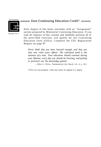The Continuing



**Education Unit** 

#### - Earn Continuing Education Credit\* .

Each chapter of this book concludes with an "Assignment" section prepared by Ministerial Continuing Education. If you read all chapters of this volume and faithfully perform all of the prescribed exercises, you qualify for two Continuing Education Units (CEUs). Complete the CEU Registration Request on page 87.

*Never think that you have learned enough, and that you may now relax yours efforts. The cultivated mind is the measure of a man. Your education should continue during your lifetime; every day you should be learning, and putting to practical use the knowledge gained.* 

—Ellen G. White, *Testimonies for the Church,* vol. 4, p. 561.

*\*CEUs are non-academic credit and cannot be applied to a degree.*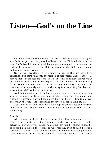### **Listen—God's on the Line**

For whom was the Bible written? It was written for you—that's right *you!* It is not just for the pious intellectual or the Bible scholar who can read God's Word in the original languages, although it is, of course, for each of them as well as for you. But God meant for the Bible to be read and understood by everyone.

One of our problems in this scientific age is that we have been conditioned to think that only the trained expert "really understands." Or maybe that isn't the real problem—maybe it's only an excuse. Maybe we've just become used to letting the experts and the scientists do our thinking for us. Maybe we're just too used to being spoon-fed everything. It's easier that way! Consequently many of us shy away from anything that demands extra effort. We'd rather push a button.

And that's what seems to be happening with a large number of people who try to study the Bible too. Since it takes effort, they give up without finding the blessing that God has placed there for those willing to discover personally the value and experience the joy of in-depth Bible study.

Let's look in on four individuals who regard themselves as Christians and find out how each relates to the challenge and opportunity of personal Bible study.

#### **Charlie**

After a long, hard day Charlie sat down for a few minutes to study his Bible. It was quite late at night, and Charlie was worn out from his activities—particularly his school homework. He found it almost impossible to focus his mind on the words he was reading, even though he was a "straight-A" student. If the truth were known, his intellectual accomplishments sometimes got in his way as he attempted to study the Bible. You see, Charlie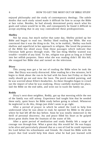#### 6 HOW TO GET THE MOST OUT OF BIBLE STUDY

enjoyed philosophy and the study of contemporary theology. The subtle doubts that such study raised made it difficult for him to accept the Bible at face value. Besides, he had already determined pretty much what his goals and values would be in life, and consequently he found it difficult to accept anything that in any way contradicted these predispositions.

#### **Shelley**

Not far away, but much earlier that same day, Shelley picked up her Bible and began to read too. Shelley liked reading her Bible. She was convinced that it was the thing to do. Yet, to be truthful,, Shelley was both shallow and superficial in her approach to religion. She loved the promises of the Bible but shied away from those passages which indicate that Christian faith grows through trials. The last thing Shelley wanted was trouble—trouble of any kind. To her, religion was great as long as it fitted into her selfish purposes. Since what she was reading didn't fill this bill, she snapped her Bible shut and turned on the television.

#### **Dizzy**

This young man got a lot out of reading the Bible when he took the time. But Dizzy was easily distracted. After reading for a few minutes, he'd begin to think about the run-in he had with his boss last Friday or that he really should go out and mow the lawn. The porch needed painting, and he was worried about Ellen's headaches. As these thoughts began to crowd out the import of what he was studying, Dizzy carefully marked his place, laid the Bible on the end table, and went out to wash the family car.

#### **Reddy**

Dizzy's next-door neighbor, Reddy, got up that morning while the rest of the family was still asleep. Experience had taught him that he needed these early, quiet hours for Bible study before going to school. Whenever he neglected to do this, things just didn't seem to go right.

After a period of prayer in which he asked the Lord to help him understand what he was about to read, he opened his Bible to the place where he had left off the day before. Soon he was totally immersed in the thrill of personal discovery. Joy and peace filled his heart as he gulped down great drafts from the fountain of the water of life.

After a quiet period of meditation and study Reddy felt a surge of courage run through him. What a great day this would be! He was happy to be alive and particularly pleased that as a son of God he could represent his Lord before his schoolmates and friends. He closed his Bible with the prayer that God would help him share what he had just learned with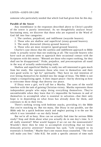#### LISTEN—GOD'S ON LINE 7

someone who particularly needed that which God had given him for this day.

#### **Parable of the Sower**

Any resemblance in the responses described above to Christ's parable of the sower is purely intentional. As we thoughtfully analyze Jesus' fascinating story, we discover that those who are exposed to the Word of God fall into four categories:

- 1. The careless, prejudiced, and indifferent (wayside hearers).
- 2. Those who are shallow and superficial (stony-ground hearers).
- 3. The easily distracted (thorny-ground hearers).
- 4. Those who are most receptive (good-ground hearers).

Charlie's case shows that the careless and indifferent approach to Bible study is actually worse than not studying at all. The wayside hearers who have such an attitude seem to approach their occasional contact with the Scriptures with this motto: "Blessed are those who expect nothing, for they shall not be disappointed." Pride, prejudice, and preconceptions all stand in the way of actually understanding truth.

Shallow and superficial Shelley is really too self-interested to gain much from her study. She represents those who trust in themselves and their own good works to "get by" spiritually. They have no real intention of ever letting themselves be molded into the image of Jesus. The Bible is not simply a tranquilizing agent. It does impart peace—but by showing us how to overcome those things that destroy our peace.

If Dizzy were a girl, we'd call her a Martha. The cares of the world interfere with the task of gaining Christian victory. Martha represents those independent people who enjoy doing everything themselves. They're uncomfortable when they learn that it's impossible for humans in and of themselves to accomplish what is essential in salvation—that their only hope is in depending on what Jesus has already done for them, and continues to do in their lives.

There's nothing wrong with bedtime snacks, providing it's the Bible that you're snacking on. But too many, like Dizzy in our parable, use the Bible *only* for a quick bedtime snack and neglect putting it to the use for which it was intended—as our daily bread.

But we're all so busy. How can we actually find time for serious Bible study? Stop and think about what you actually do in one day's time. Is it all really essential? What would happen if we cut out the nonessentials? Wouldn't there then be time to accomplish everything that we know demands priority attention? Someone has said, "Life stripped to its essentials is freedom." Maybe that's one reason Jesus counseled, "The truth will make you free." John 8:32. Set aside a specific amount of time each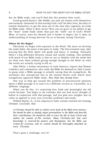#### 8 **BUDGET THE MOST OUT OF BIBLE STUDY**

day for Bible study, and you'll find that this promise does work.

Good-ground hearers, like Reddy, not only are honest with themselves and earnestly interested in discovering God's will for their lives, but they've trained themselves to get the most out of the time they regularly set aside for Bible study. What is their secret? How can we grow in our ability to get the "meat" (solid food) rather than just the "milk" out of God's Word? Meat, of course, must be chewed and is harder to digest; but it takes an understanding of strong doctrine for us to become strong Christians.

#### **Where Do We Begin?**

Obviously we begin with exposure to the Word. The more we develop the study habit, the easier it becomes to study. The first essential step, after praying that the Holy Spirit will guide and direct, is reading. Naturally there's a big difference between casual and careful reading. One problem with much of our Bible study is that we are so familiar with the *words* that we skim over them without giving enough thought to the *Word*—or what the words are actually trying to tell us.

John White, a former missionary in Latin America, reports that Roman Catholics and communists who study the Bible for themselves find it easier to grasp what a Bible passage is actually saying than do evangelicals. He attributes this unexpected fact to the mental blocks with which most evangelicals approach Bible study. *They think they already know.* 

One way to help get around this problem of preconceived opinions about a Bible passage is to read it in a different version or, if possible, in a different language.

When you do this, it's surprising how fresh and meaningful the old words become. You begin to see concepts that you had never thought of before in connection with that passage, and you gain new insights into its value as applied to your own everyday problems and needs.

Willard Harley, Jr., in his impressive little volume entitled *Get Growing, Christian* concludes that:

*A Christian should be able to outline every book of the Bible from memory. He should be able to identify major personalities in the Bible and describe their contributions. He should be able to trace the life of Jesus Christ and outline the content of His sermons. Many Christians feel that such knowledge is reserved for pastors and theologians, but the Bible was written for everyone, and its content should be thoroughly absorbed by every Christian.* 

That's quite a challenge, isn't it?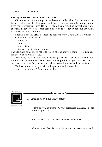#### **Putting What We Learn to Practical Use**

Of course it's not enough to understand fully what God wants us to know. Unless we, by His grace and power, put to work in our personal lives those precious truths He has revealed as a result of careful study and exciting discovery, we're probably better off if we never become involved in the search for God's will.

Second Timothy 3:16, 17 lists the reasons why God's Word is valuable to us. Scripture is given for:

- doctrine
- reproof
- correction
- instruction in righteousness.

The ultimate objective is "that the man of God may be complete, equipped for every good work." R.S.V.

You see, you're not just studying another textbook when you inductively approach the Bible. You're letting God tell you what He thinks is most important for you to learn about your life now and in the future.

He has much to tell you that's important and interesting.

Listen—won't you? God's on the line.



Education Unit .

*1. Analyze your Bible study habits.* 

*Where do you fit among the four categories described in the Parable of the Sower?* 

*What changes will you make in order to improve?* 

- Assignment -

*2. Identify three obstacles that hinder your understanding truth.*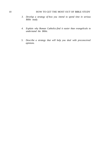#### 10 HOW TO GET THE MOST OUT OF BIBLE STUDY

- *3. Develop a strategy of how you intend to spend time in serious Bible study.*
- *4. Explain why Roman Catholics find it easier than evangelicals to understand the Bible.*
- *5. Describe a strategy that will help you deal with preconceived opinions.*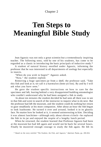#### Chapter 2

### **Ten Steps to Meaningful Bible Study**

Jean Agassiz was not only a great scientist but a tremendously inspiring teacher. The following story, told by one of his students, has come to be regarded as a classic in introducing the basic principals of inductive study.\*

A student of natural history enrolled under Agassiz, informing the professor that he was interested in all departments of zoology but especially in insects.

"When do you wish to begin?" Agassiz asked.

"Now," the student replied.

Removing a huge specimen jar from a shelf, the professor said, "Take this fish and look at it; we call it a haemulon (hem-yú-lon). By and by I will ask what you have seen."

He gave the student specific instructions on how to care for the specimen and left, leaving behind a very disappointed budding entomologist who couldn't understand why he had been assigned a fish to study.

In about ten minutes the student decided he had seen all there was to see in that fish and went in search of the instructor to inquire what to do next. But the professor had left the museum, and the student could do nothing but return to gaze steadfastly at his mute companion. After about an hour the fish began to look loathsome. He turned it over and around, looked it in its ghastly face. No matter how he looked at it, it seemed uninteresting to him. Deciding it was almost lunchtime—although only about eleven o'clock—he replaced the fish in its jar and enjoyed the respite of a lengthy lunch period.

When he returned, the student learned that Professor Agassiz had been at the museum but had left again and would not be back for several hours. Finally he mustered enough courage to study the fish again. He felt its

<sup>\*</sup> Based on the story entitled "The Student, the Fish, and Agassiz," *American Poems,* pp. 450-454.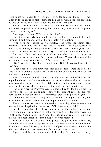teeth to see how sharp they were and then began to count the scales. Then a happy thought struck him—draw the fish. As he went about his drawing, he was surprised to discover new features in the creature.

It didn't seem long until the professor returned. Noting that the student was busily engaged in his drawing, he commented, "That is right. A pencil is one of the best eyes."

Then Agassiz asked, "Well, what is it like?"

The student eagerly rehearsed the structural details, only to be both astounded and disappointed at his instructor's evaluation.

"You have not looked very carefully," the professor commented earnestly. "Why, you haven't seen one of the most conspicuous features which is as plainly before your eyes as the fish itself. Look again! Look again!" And, with that parting advice, Agassiz left the student to his misery.

But the student had been inspired to new effort and soon began to realize how just his instructor's criticism had been. Toward the close of the afternoon the professor returned. "Do you see it yet?"

"No," was the reply, "I'm certain I don't. But I do realize how little I saw before!"

"That's next best. Put away your fish and go home. Perhaps you'll be ready with a better answer in the morning. I'll examine you then before you look at your fish."

The student was dumbfounded. Not only must he think of that fish all night, but the next day he must take an examination without a chance to review his discoveries. He passed a restless night, but early in the morning he seemed to sense the answer that he supposed the professor was looking for.

The next morning Professor Agassiz seemed eager for his student to see what he saw. To his anxious inquiry the student replied, "Do you perhaps mean that the fish has symmetrical sides with paired organs?

"Of course! Of course!" The professor seemed thoroughly pleased, and proceeded to deliver a lecture on the importance of this point.

The student as last ventured a question concerning what he was to do next and was chagrined at the answer, "Oh, look at your fish!"

For three long days the fish was placed before the student's eyes, and the young man was forbidden to look at anything else. Repeatedly Agassiz emphasized, "Look, look, look!" And the student later came to realize that this was the best lesson in "entomology" he ever received.

The fourth day a fish of the same group was placed beside the first, and now the student was required to note comparisons of resemblance and difference. Others followed, until a legion of jars covered the table and the odor from those jars had become a pleasant perfume to him.

Agassiz' training in the methods of observing facts and their orderly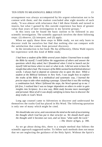#### TEN STEPS TO MEANINGFUL BIBLE STUDY 13

arrangement was always accompanied by his urgent exhortation not to be content with them; and the student concluded after eight months of such study, "It was almost with reluctance that I left these friends and turned to insects, but what I gained by this outside experience has been of greater value than years of later investigation in my favorite groups."

In this story can be found the basic outline to be followed in any scientific investigation. The scientific approach involves the three following steps: (1) observe, (2) interpret, and (3) apply.

When we apply these three steps to Bible study, we not only learn to discover truth for ourselves but find that nothing else can compare with the satisfaction that comes from personal discovery.

In the introduction to her book *The Joy of Discovery,* Oletta Wald reports her experience with this kind of Bible study.

*I had been a student of the Bible several years before I learned how to study the Bible by myself. I could follow the suggestions of others and answer the questions which they asked, but I floundered when I tried to launch out for myself I did not know where to start or what to do. I did not seem to have the insight that others had. The treasure of the Bible seemed locked behind abstract words. I always had to depend on someone else to open the door. While a student at the Biblical Seminary in New York, I was taught how to explore the truths of the Bible in a methodical and systematic way, I learned the precise steps to take when studying a passage. I found that it was like working a combination lock. When I followed the steps, the Word opened up to me. I felt free, I realized that I was no longer dependent on others in order to gain insights into Scripture. In a new way, Bible study became more meaningful and personal. Most of all it was deeply satisfying to know how to discover the deep truths in God's Word.* 

Long ago counsel came to Adventists to discover and understand for themselves the truths God has placed in His Word. The following quotation is only one of many which might be cited.

*We should take one verse, and concentrate the mind on the task of ascertaining the thought which God has put in that verse for us. We should dwell upon the thought until it becomes our own, and we know "what saith the Lord."*  —*The Desire of Ages,* p. 390.

As we go about doing this, there is a simple method that follows the scientific approach suggested earlier. To follow such methods does not mean that we are neglecting the guidance of the Holy Spirit. Without the Spirit's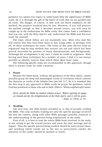guidance we cannot ever expect to understand fully the significance of Bible truth, for it is through the gift of the Spirit of truth that we are guided into all truth. The danger, of course, is that with too much emphasis on the method, the purpose involved may be lost. However, if you will practice the method enough so that it becomes second nature, you will soon be caught up in the enthusiasm for Bible study that comes from a confidence that you can, with the Holy Spirit's aid, understand the Bible and discover truth for yourself.

The steps which follow are not essentially new. Most who read this will realize that they have been more or less using some, or perhaps even all, of these techniques for years. The value of this plan derives from an organized step-by-step method that anyone can use and which has been proved successful by persons of many denominations and backgrounds. Although the arrangement is my own, I claim no credit as originator. After having used these techniques for a number of years, I find it is not always possible to identify sources from which these ideas have come.

The following specific steps are recommended in this approach, though there is always room for some variation.

#### **1. Prayer**

Because the finite mind, without the guidance of the Holy Spirit, cannot possibly grasp the deep and meaningful truths of revelation which concern the character or works of the Infinite One (see Job 11:7, 8), it is essential that the first step in any approach to Bible study be prayer for guidance, which God has promised to those who ask in faith. Ellen G. White emphatically states:

*Never should the Bible be studied without prayer. Before opening its pages we should ask for the enlightenment of the Holy Spirit, and it will be given.*  —*Steps to Christ,* p. 91.

#### **2. Reading**

The next step, one often hastily attended to, is that of actually reading the Bible. This step includes reading not only the specific passage involved but also the context, along with other Bible passages possibly essential to the understanding of the portion being emphasized in the study.

First of all, it is best to read the whole Bible book involved in the study at one sitting to get the overall picture and sense the total message and its impact. Then the specific portion being studied should be read several times, and anything which stands out in the text or particularly catches the attention of the reader should be marked or noted.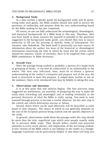#### **3. Background Study**

In a later section a specific guide for background study will be given. Using some such guide, the Bible student should first seek to answer the questions of authorship and purpose from his own understanding based on the Bible reading he has just completed.

Of course, no one can fully understand the archaeological, chronological, and historical backgrounds of a Bible book in this way. Therefore, after you have found as many answers for yourself as possible to the questions suggested in the background study guide, you should then turn to source materials to fill out the missing or sketchy items of information. For instance, take Habakkuk. The book itself is practically our only source of information about the author; but most of the historical or chronological information concerning the time in which he lived and the events which shaped his ministry would, of necessity, have to be supplied from a good Bible commentary or Bible dictionary.

#### **4. Overall View**

Since the passage being studied is probably a portion of a larger book or grouping of books, it can best be understood in its relationship to the whole. The next step indicated, then, must be to obtain a general understanding of the author's viewpoint and purpose and of the way the book is structured to meet this purpose. A simple basic outline or one of the summary charts to be introduced later may be helpful in taking this step.

#### **5. Observations and Questions**

It is at this point that real analysis begins. The four previous steps suggested are preliminary, yet essential, in preparing the way to make the study most rewarding and meaningful and in leading eventually to the personal discovery of what the Bible is really saying. You need to train yourself through practice to become a careful observer, for this next step is the critical one which determines success or failure.

Several charts which can be used effectively will be described in some detail in later chapters. The choice of which to use generally depends on the size of the Scripture portion being studied and the specific objective of the study.

In general, observations made about the passage under this step should be more than the trite, superficial type which most people usually settle for in personal Bible study. They should reflect careful and prayerful attention to every word, phrase, and implication of the text being studied. A new version of the Bible which is not familiar to the reader or a foreignlanguage translation can be particularly helpful in that these will help you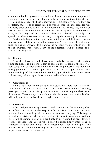to view the familiar passage in a fresh and interesting way and to approach your study from the viewpoint of one who has never heard these things before.

You should record these observations immediately before they are forgotten. Questions of clarification of words, phrases, and passages will naturally arise as one studies in this observant way. These, too, should be written down before they are forgotten. Do not ask questions for questions' sake, as this may lead to irrelevant ideas and sidetrack the study. The questions, when answered, must really clarify the meaning of the text.

Particularly important are questions that deal with definitions, reasons, implications, relationships, and progression. At this point do not spend time looking up answers. If the answer is not readily apparent, go on with the observation-type study. Many of the questions will be cleared up as your study progresses.

#### **6. Review**

After the above methods have been carefully applied to the section being studied, it is time once again to take an overall look at the materials now compiled. Go back over the materials, reading observations made and doing your best to answer questions raised. In the light of your total understanding of the section being studied, you should now be surprised at how many of your questions you are really able to answer.

#### **7**. **Comparisons**

Next a little additional thought and study will help you to find the relationship of the passage under study with preceding or following passages or with other Scripture references containing similarities or differences. These comparisons should also be noted, and a simple chart will help you to organize these thoughts more clearly.

#### **8. Summary**

After analysis comes synthesis. Check once again the summary chart or outline constructed under step 4. Add to this or alter it to suit your advanced understanding of the material you are studying. This step is important in giving depth, purpose, and significance to your study. Without this effort at summarization you are likely to get yourself bogged down in words, phrases, and verses which may be exceedingly interesting in themselves but not wholly significant unless understood in the light of the entire passage. Try summarizing the meaning of the section being studied in just a few words or sentences.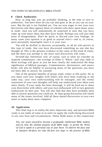#### **9. Check Authorities**

Now, at long last, you are probably thinking, is the time to turn to authorities. You have done all you can and gone as far as you can on your own. But the job is not finished yet. You are now eager to test your own discoveries and ideas against those of scholars who have spent many years in study. And you will undoubtedly be surprised to note that you have come up with many ideas that they have found. Perhaps you will also find areas of disagreement. Don't be quick to discard your own findings. In many cases your opinion is as good as anyone else's—and is, of course, more personally meaningful since it is your own.

You will be thrilled to discover occasionally, as all do who persist in this type of study, that you have discovered something no one else has thought of. This is the greatest evidence of the value of this kind of study; and the more you attempt it, the more such discoveries will come.

Seventh-day Adventists will, of course, turn to what we consider an inspired commentary—the writings of Ellen G. White—and your faith in these writings will grow as you see how clearly she understood the deep significance of biblical passages. Commentaries, dictionaries, and source books will also be helpful in answering many of the questions you have not been able to answer for yourself.

One of the greatest benefits of group study comes at this point; for as you share your new insights with others who have been studying in the same way, your own understanding will be enlarged, and the verbal expression of your own thoughts will help you understand your ideas even more clearly. If your study has been thorough, it will be hard not to share your discoveries with others; and your own enthusiasm will in turn generate enthusiasm on their part. You will also find that they have probably been able to answer questions you could not. At least group discussion will clarify many of the issues involved. Add all these shared discoveries to your own notes to make them more complete.

#### **10. Application**

This final step is in reality the most important step, and personal Bible study is not really of value to us until we apply the truths being discovered to our own lives and circumstances. Oletta Wald states in this connection:

*You can teach yourself to become a profoundly intellectual Bible student and yet miss the ultimate purpose of all Bible study: to permit the Word of God to speak in a personal way to your heart. To observe the facts and to interpret the facts are only the first two steps in the process of Bible*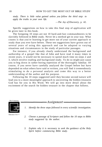*study. There is little value gained unless you follow the third step: to apply the truths to your own life.* 

—*The Joy of Discovery,* p. 42.

Specific suggestions on how to take this final step of application will be given later in this book.

The foregoing 10 steps are not 10 hard-and-fast commandments to be slavishly followed in Bible study. Never let a method get in your way. What counts is that you're learning to get more out of your current approach to study than you ever have before. These ten suggestions have grown out of several years of using this approach and can be adapted to varying situations and circumstances in the study of particular passages.

For instance, if you already clearly understand the background and authorship of a gospel like that of John and have read it many times in recent years, it would not be necessary to spend much time on steps 2 and 3, which involve reading and background study. To do so might just cause you to bog down in rather boring repetition of the thoroughly familiar. Of course, if you never have carefully analyzed the Gospel before but have depended on what others have said or written, you will find it tremendously stimulating to do a personal analysis and come this way to a better understanding of the author and his purpose.

Following the 10 steps suggested until they become second nature will lead you to a more meaningful approach to uncovering the hidden treasures God has for you in His Word. We will go into more detail about the excitement of the search for hidden treasure in the chapter that follows.



*study suggested by the author.* 

*3. Explain why it is necessary to seek the guidance of the Holy Spirit before commencing Bible study.*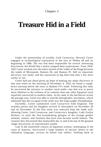#### Chapter 3

### **Treasure Hid in a Field**

Under the sponsorship of wealthy Lord Carnarvon, Howard Carter engaged in archaeological exploration in the area of Thebes off and on beginning in 1908. The two had been responsible for several interesting discoveries, but World War I nearly stopped their explorations. From 1919- 1921 Carter worked over the entire section of the Valley of the Kings between the tombs of Merneptah, Ramses III, and Ramses IV. Still no important discovery was made, and the concession to dig there had only a few more weeks to run.

Carter had just about given up hope of making any major discovery in that area when on the morning of November 4, 1922, he found a roughhewn stairstep below the entry to Ramses IV's tomb. Following this lead, he uncovered the entrance to another royal tomb—one that was to prove more fabulous in the richness of its contents than any other Egyptian royal sepulcher uncovered in modern times. As he came to the last barrier across the passage way, Carter was able to read the hieroglyphic inscription, which indicated that the occupant of the tomb was the long-sought Tutankhamen.

Excitedly, Carter summoned Lord Carnarvon from England. The wealthy patron and his daughter arrived in Alexandria on November 20 and on November 25 the first stone was removed from the tomb wall, allowing Carter, Lord Carnarvon, and Carnarvon's daughter, Lady Evelyn Herbert, to catch the first breathtaking glimpse of the strange golden animals, statues, and furniture that have now become world famous. The treasure they discovered that memorable day is said to be one of the greatest single discoveries of concentrated wealth.

Late in the nineteenth century an Egyptian woman, rummaging in the ruins of Amarna, discovered a large number of ancient letters in the Akkadian language, written on baked clay tablets. Stuffing them in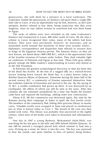gunnysacks, she sold them for a pittance to a local tradesman. The tradesman loaded the gunnysacks on donkeys and gave them a rough 200 mile ride to Cairo. It was an unprofitable trip for him, however, as the Cairo antiquity dealers refused to buy them, being suspicious that they were forgeries, since no clay tablets written in cuneiform had ever been found in Egypt.

The sacks of tablets were next reloaded on the same tradesman's donkeys and transported to Luxor, 400 miles south of Cairo. By the time a scholar in Luxor recognized their value, many of the tablets had been broken. They were soon purchased, however, by museums; and an astonished world learned that hundreds of these were actually letters diplomatic correspondence and dispatches from officials in western Asia to kings of the Egyptian Amarna period. The Amarna letters, as they are now known, are dated about 1400-1360 B.C., which is the approximate time of the Israelite invasion of Canaan under Joshua. They shed valuable light on conditions in Palestine and Egypt at that time. These little gray tablets greatly enlarge the Bible student's understanding of events only hinted at in the Old Testament.

In Palestine the greatest archaeological discovery to date has been that of the Dead Sea Scrolls. At the foot of a rugged cliff, on a whitish-brown terrace looking down toward the Dead Sea, is a place known today as Khirbet Qumran (Ruins of Qumran). Sometime during the latter half of the second century B.C. a community of Essenes separated themselves from the orthodox Judaism of Jerusalem and moved to the site. By the spring of 31 B.C. a sizable community had grown up there. It was destroyed by an earthquake, the effects of which can still be seen in the ruins. After that calamity the site remained uninhabited for a time; but finally the Essenes came back and repaired the buildings, adding some new construction.

About A.D. 68 this community was destroyed again, this time by the Romans during their campaign in Judea to quell the first Jewish revolt. The members of the community fled, hiding their precious library in nearby caves. Valuable scrolls were wrapped in linen and placed in earthenware jars in what is known today as Cave 1. The mouth of the cave was then sealed with rocks. This library was probably first uncovered in the eighth century, when most of the books were taken to Jerusalem and subsequently lost.

One day in 1947 a young Bedouin, Muhammed Adah-Dhib, was searching for his lost goat in the hills and cliffs behind Khirbet Qumran. In one cliff he noticed a strangely placed hole which seemed to lead into a cave. Picking up a stone, he threw it into the cave. The boy was surprised to hear the sound—one quite familiar to him—of pottery being broken.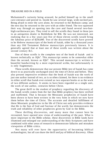#### TREASURE HID IN A FIELD 21

Muhammed's curiosity being aroused, he pulled himself up to the small cave entrance and peered in. Inside he saw several large, wide-necked jars. Being afraid to enter the cave alone, he returned to the Bedouin camp; and the next day he returned to the cave with an older friend. The two squeezed their way through an opening into the cave and found several two-foothigh earthenware jars. They tried to sell the scrolls they found in those jars to an antiquities dealer in Bethlehem for \$56. He was not interested, not realizing that in a few years just five of those eleven scrolls would bring the fabulous price of \$250,000. Two of the discovered scrolls have proved to be Hebrew manuscripts of the book of Isaiah, older by a thousand years than any Old Testament Hebrew manuscripts previously known. It is generally agreed that at least one of these scrolls was written about the second century B.C.

One of these scrolls is the complete text of the book of Isaiah and is known technically as IQIs<sup>a</sup>. This manuscript seems to be somewhat older than the second, known as  $IQIs^b$ . This second manuscript is written in beautiful handwriting by a more experienced scribe, but unfortunately it is only fragmentary.

These scrolls demonstrate that our present Bible text of Isaiah has come down to us practically unchanged since the time of Christ and before. They also present impressive evidence that the book of Isaiah was the work of just one author instead of two, as is so often claimed, for there is no evidence in either scroll that Isaiah ever existed as two separate books or as the work of two different authors. It seems to have been regarded as a single unit, the work of one author, centuries before Christ.

The great thrill to the student of prophecy regarding the discovery of the Isaiah scrolls comes from the fact that Bible prophecy has been verified and reaffirmed. That is because the Messianic prophecies of Isaiah have been shown to have been written in the very form in which we now have them before the time of Christ. The accurate and detailed fulfillment of these Messianic prophecies in the life of Christ not only provides evidence that He is the Son of God and Saviour of the world, but demonstrates the truth and reliability of other prophecies given by God in the Bible.

These thrilling discoveries, and many more that cannot here be recounted, have opened new vistas of understanding of the past. What is more important to the Bible scholar, these discoveries in Bible lands have illumined and enlarged our understanding of the Holy Scriptures and have combined with other areas of research to demonstrate fallacies and mistaken viewpoints of Bible critics.

Not many will ever have the opportunity of becoming biblical archaeologists, but all can share the thrill and joy of biblical discovery. Often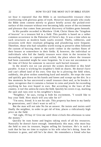we hear it repeated that the Bible is an inexhaustible treasure chest overflowing with glorious gems of truth. However most people who study the Bible seem content merely to glance briefly across the picked-over surface of this treasure without ever becoming fully aware of the excitement and pleasure that comes from personal discovery of hidden gems beneath.

In His parable recorded in Matthew 13:44, Christ likens the "kingdom of heaven" to a treasure hid in a field. This parable is based on a rather common occurrence in the Palestine of Christ's day. It was a time when no such structures as modern bank vaults existed. Thefts, robberies, and invasions with their resultant pillaging and plundering were frequent. Therefore, those who had valuables worth trying to preserve often followed the custom of burying them in the earth—either in the earthen floors of their houses or somewhere in their fields. If, however, the individual or individuals who hid the family treasure were slain in the invasion by marauding armies or captured and exiled, the place where the treasure had been concealed might be soon forgotten. So it was not uncommon in the time of Christ for someone to uncover such buried treasure.

In the mind's eye we can picture the scenes described in this brief parable. A man is working his neighbor's field on shares. He doesn't have and can't afford land of his own. One day he is plowing the field when, suddenly, the plow strikes something hard and metallic. He stops the oxen and quickly gets down on his hands and knees and scoops up the dirt. In a few moments he has uncovered a small treasure chest and, as he breaks it open, recognizes that it contains a fortune in coins and jewels far exceeding anything he has ever hoped to own. But according to the laws of that country, it isn't his unless he owns the field. Quickly he covers it up, marking the spot and runs over to his neighbor's house.

"Neighbor," he says, trying to hide his excitement, "I would like to buy your field. How much will you take for it?"

"I'm sorry, friend. It is not for sale. This property has been in my family for generations, and I don't want to sell it."

But the man will not take No for an answer. He insists and insists until finally the neighbor, in order to get rid of him, places a ridiculously high price on the field.

"All right, I'll buy it! Give me until three o'clock this afternoon to raise the money."

Quickly he runs home and begins taking stock of all his resources. Naturally he doesn't have enough. Immediately this man, who must buy the field to own its treasure, begins selling his furniture. He's in such a rush that he has no time to explain to his wife what he's doing. Soon the furniture is gone, and still he's far short. He remembers a friend who has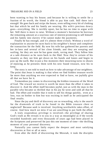been wanting to buy his house; and because he is willing to settle for a fraction of its worth, the friend is able to pay him cash. Still there isn't enough! He goes back and strips the house, even selling every bit of clothing but that which he and his family are wearing. His wife's precious dowry goes—everything. She is terribly upset, but he has no time to argue with her. Still there is more to raise. Without a moment's hesitation he borrows the remaining amount at a usurious rate of interest promising to sell himself and his family into slavery if he cannot make the payments.

Finally he has enough, and it's almost three o'clock. Without a word of explanation to anyone he races back to his neighbor's house and completes the transaction for the field. By now his wife has gathered her parents and her in-laws and several of her close friends; and they are weeping and wailing, for they are sure he has gone stark, raving mad. They follow him at a safe distance as he races back to the filed. Now they're certain of his insanity as they see him get down on his hands and knees and begin to paw up the earth. But in just a few moments their mourning turns to shouts of rejoicing as he presents them with his new found treasure, now his to keep.

The story is not told to teach us how to take advantage of our neighbors. The point that Jesus is making is that when we find hidden treasure worth far more than anything we ever expected to find or have, we joyfully give all that we have for it.

Tremendous joy comes in discovering the hidden treasures of the Word of God. The reward we receive is worth far more than the effort it takes to discover it. And the effort itself becomes joyful, just as with the man in the parable who became so thrilled that in his joy he went and sold all that he had. The effort and trouble that it took to sell his things quickly, even at a loss, was no bother to him but was exciting in itself as he anticipated the final results.

Since the joy and thrill of discovery are so rewarding, why is the search for the diamonds of truth to be found in the Bible treasure chest so neglected? Because *work* is involved. Anything worthwhile takes effort, of course. And how much we miss if we are unwilling to put forth the effort.

A truly stupendous privilege is involved—the privilege of sharing God's truth as He reveals it to you in a way as meaningful as if the words recorded hundreds and even thousands of years ago had been placed in the Scriptures and preserved for just this one moment of time—the thrilling moment of your personal discovery.

Naturally you cannot fairly expect the deepest and most satisfying discoveries at first or all at once.

Even after the thrill of discovering the Messiah, it took the disciples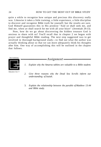quite a while to recognize how unique and precious this discovery really was. Likewise it takes a little training, a little experience, a little discipline to discover and recognize Bible truth for yourself; but the results are sure. God Himself guarantees this in His promise "And ye shall seek me, and find me, when ye shall search for me with all your heart" (Jeremiah 29:13).

Now, how do we go about discovering the hidden treasure God is anxious to share with us? You'll recall that in chapter 2 we began with prayer and thoughtful Bible reading. The next step suggested was to get involved in thorough background study—to find out what the author was actually thinking about so that we can more adequately think his thoughts after him. One way of accomplishing this will be outlined in the chapter that follows.



*1. Explain why the Amarna tablets are valuable to a Bible student.* 

-Assignment

Education Unit

- *2. Give three reasons why the Dead Sea Scrolls inform our understanding of Isaiah.*
- 3. *Explain the relationship between the parable of Matthew 13:44 and Bible study.*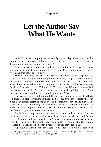#### Chapter 4

### **Let the Author Say What He Wants**

In 1973, on Yom Kippur, an especially sacred day when Jews can be found in the synagogue and secular activities in Israel cease, Arab forces began a sudden, unannounced attack.\*

Army reservists, rushing for the front lines, put special emergency signs on their buses and trucks to keep the Orthodox Jews from stoning them for violating this most sacred day.

Most astounding was that the Israelis had been caught unprepared. The Arab forces caught them completely off guard, trapping Israeli soldiers inside their undermanned Bar Lev line forts on the Egyptian front and overwhelming Israeli outposts along the Syrian border. In the two previous Middle-East wars, of 1956 and 1967, the Israelis' cannily detailed foreknowledge of the Arab's intentions had led to the quick defeat of Arab forces. But now they had been caught napping. Why?

One reason was that Israeli intelligence was concentrating its efforts on trying to stop terrorism in Europe. Yet only two days before the war began, an Israeli secret agent delivered a complete copy of the Egyptian-Syrian war plan, including the outlines of a surprise attack to take place at dawn on Yom Kippur. It was so secret that only twenty to twenty-five leaders in Egypt and Syria knew about it.

Golda Meir, the prime minister, was not convinced, however, that the information was genuine; and army officers, jealous of the Mossad (secret service), supported her view. It wasn't until they were caught by surprise and the attack unfolded exactly according to that very war plan that Israeli leaders belatedly realized what a tragic blunder they had made.

A prevalent human tendency accepts only those facts which seem to fit

<sup>\*</sup> Paraphrased here, with permission, from David B. Tinnin with Dag Christensen, *The Hit Team* (New York; Dell Publishing Co., 1976), pp. 206-209.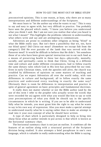preconceived opinions. This is one reason, at least, why there are so many interpretations and different understandings of the Scriptures.

We must learn to "let the author say what he wants to say." This is easy to say and easy to agree with, but very difficult to practice. You probably have seen the placard which reads, "I know you believe you understood what you think I said. But I am not sure you realize that what you heard is not what I meant!" This highlights the problems inherent in understanding what others write and say and are attempting to communicate.

Adventists are prone to condemn other religions as being "blind" to what the Bible really says. But isn't there a possibility that we, too, have our blind spots? Did Christ eat meat? (Somehow we except fish from the category!) Did He ever partake of the lamb that was served with the Passover meal? It would be difficult to believe that He didn't. Yet somehow those of us who have been given special instruction not to eat such food as a means of preserving health in these last days—physically, mentally, socially, and spiritually—seem to think that Christ, living in a different time and culture and under different circumstances, had to follow exactly the same dietary rules which God in His love has prescribed for our time. Even in early Christian times, with the apostles still alive, the church was troubled by differences of opinions on some matters of teaching and practice. Can we expect Adventists all over the world today, with vast differences in culture and background, all to follow exactly the same practices and understand every teaching in exactly the same way? Obviously there is room for differences in interpretation and practice in spite of general agreement on basic principles and fundamental doctrines.

It really does not matter whether or not the Bible author (and by the use of this term I refer to the prophet who actually wrote the words that were recorded for us) agrees with what you would like him to say or with your preconceptions of what you think he should say in the specific circumstances in which he is writing. If you are to be able to understand fully what he intends, you must grant him the right to say what he wants to say in his own way of expression. Also you must make a special attempt to understand exactly what he is saying rather than to make an attempt to read into it your own concept of what he should have written.

A type of chart which is particularly designed to help us bring into sharp focus what an author intends to put across is that which is known as the horizontal summary chart.

The horizontal summary chart is not just an outline. It combines all the features of an outline along with a structural portrait of the Scripture division being studied. It also attempts a brief paraphrase in one's own language, which is valuable in really understanding what the Bible is saying.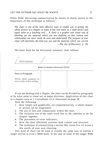#### LET THE AUTHOR SAY WHAT HE WANTS 27

Oletta Wald, discussing summarization by means of charts, points to the importance of this technique as follows:

*The chart is one of the most effective ways to enable you to grasps the whole picture of a chapter or book. It has real value as a study device and equal value as a teaching tool.*... A *chart is a graphic and visual way of blocking out the material which you are studying so that content and relationship can more easily be seen and understood. The purpose of your chart will determine the kind you use and the material which you record.*  —*The Joy of Discovery,* p. 38.

The basic form for the horizontal summary chart follows:

**TEXT-Subtitles** 

Book (or textual reference)-TITLE



If you are dealing with a chapter, the chart can be divided by paragraphs or by what seem to stand out as major divisions. Application of this chart to a chapter such as 1 Corinthians 13 is illustrated on page 28.

Note the following:

- 1. How simply and graphically, yet comprehensively, a whole chapter or section can be diagramed.
- 2. The use of lists and comparisons within the chart.
- 3. The recurrent use of the same word *love* in the subtitles to tie the chapter together.
- 4. The placement of verse indicators.
- 5. How the chart effectively presents both content and structure.
- 6. The technique of summarizing a section like verses 9 to 12 in just a few words of your own choosing.

This kind of chart can be used in exactly the same way to outline a larger section or even a Bible book. In the case of some of the longer Bible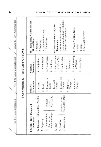| vss.8b-13=Love Commended                                          | 8b-Temporary Nature of First<br>Three Gifts:<br>2. Prophecy<br>1. Tongues | 3. Understanding and<br>Knowledge                                                               | clear understanding we'll later<br>9-12=Reason Why They Are<br>Needed now due to lack of<br>have in God's presence<br>Temporary | 8. Not Rejoicing   13-Three Abiding Gifts:<br>3.Love=GREATEST<br>2. Hope<br>1. Faith |
|-------------------------------------------------------------------|---------------------------------------------------------------------------|-------------------------------------------------------------------------------------------------|---------------------------------------------------------------------------------------------------------------------------------|--------------------------------------------------------------------------------------|
| 1 Corinthians 13-THE GIFT OF LOVE<br>vss. 4-8a=Love Characterized | 1. Not Jealous<br><b>Statements</b><br>Negative                           | 3. Not Arrogant<br>2. Not Boastful<br>4. Not Rude                                               | 5. Not Insistent<br>on Own Way<br>6. Not Irritable<br>Resentful<br>7. Not                                                       | Never Fails<br>at Wrong<br>g.                                                        |
| Positive                                                          | <b>Statements</b><br>1. Patient                                           | 3. Rejoices in<br>Right<br>2. Kind                                                              | 5. Believes All<br>6. Hopes All<br>4. Bears all<br>Things<br>Things<br>Things                                                   | 7. Endures All<br>Things                                                             |
|                                                                   | 1. Tongues-without love=NOISE<br>1-3=Other Gifts Compared<br>With Love    | NOTHING<br>Without<br>Love=<br>and knowledge<br>3. Understanding<br>of mysteries<br>2. Prophecy | Gain NOTHING<br>Without Love=<br>6. Martyrdom<br>5. Sacrifice<br>4. Faith                                                       |                                                                                      |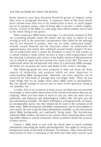#### LET THE AUTHOR SAY WHAT HE WANTS 29

books, however, your basic divisions should be groups of chapters rather than verse or paragraph divisions. A summary chart of this kind should never include more than five or six subdivisions at most, or you'll negate one of its greatest values—that of being able to picture a whole chapter, section, or book of the Bible in a one-page chart which enables you to take in the whole thing at one glance.

When studying a Bible book or passage, it is obviously essential to find out everything possible about the author and the times in which he was writing as well as the particular circumstances that called for the message that he was directed to present. How can we really understand Jonah's attitude toward Nineveh and the Assyrians unless we understand the aggressiveness and cruelty they exhibited toward Jonah's people? Or how can we understand what it meant for Abraham to leave Ur and wander as a nomad without a home unless we have at least a brief acquaintance with the amazing civilization and culture of the highly advanced Mesopotamian city in which he spent the first seventy-five years of his life? The more we understand about the background and times of a particular Bible passage, the better we can grasp the intent and depth of the writer's message.

The following guide has been prepared to help you ferret out those aspects of authorship and purpose which are most important in understanding Bible backgrounds. Naturally, not every question can be answered for each book or passage that you might study. There are just some things that we no longer know about Bible times or personalities. But you should attempt to answer just as many of the questions listed as you possibly can.

It is best, first, to try to answer as many as you can from your own personal knowledge or from careful observation of the section of Scripture that you are studying. When you have done as much as you can, then you must turn to authorities and historical and archaeological studies that will give you the best information available. The Spirit of Prophecy writings provide, of course, an incomparable source, but they should not be used to the exclusion of all other study. Bible dictionaries and Bible commentaries can be most helpful in your search. Be sure to get the latest information available, as new discoveries about Bible backgrounds are continually being made. The Seventh-day Adventist Bible student will want to use caution when consulting those works that reflect liberal or critical viewpoints which we believe distort the accuracy of these sources.

Choose a Bible book to start with for which there is much available information concerning the author and background. You might try doing your background study on the book of Romans, for instance. Then, from personal observation of what is contained in the book and from other sources such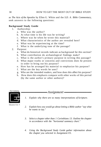as *The Acts of the Apostles* by Ellen G. White and the *S.D. A. Bible Commentary,*  seek answers to the following questions:

#### **Background Study Guide**

- 1. Authorship:
	- a. Who was the author?
	- b. At what time is his life was he writing?
	- c. Where was he when he wrote this material?
	- d. What characteristics of the author are revealed here?
	- e. What was he experiencing at the time?
	- f. What is the underlying tone of the passage?

#### 2. Purpose:

- a. What do historical records indicate as background for this section?
- b. What contribution do archaeological findings make?
- c. What is the author's primary purpose in writing this passage?
- d. What major truths or concerns and convictions does he present in order to bring out his purpose?
- e. How has he arranged his material to emphasize his purpose?
- f. What are the key words he uses?
- g. Who are the intended readers, and how does this affect his purpose?
- h. How does this emphasis compare with other works of this period (by the same author or other authors)?



- $-$ Assignment  $-$
- *1. Explain why there are so many interpretations of Scripture.*

Education Unit

- *2. Explain how you would go about letting a Bible author "say what he wants to say."*
- *3. Select a chapter other than 1 Corinthians 13. Outline the chapter in accordance with the "horizontal summary chart."*
- *4. Using the Background Study Guide gather information about the chapter you selected in Assignment* #3.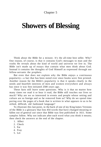#### Chapter 5

### **Showers of Blessing**

Think about the Bible for a minute. It's the all-time best seller. Why? One reason, of course, is that it contains God's messages to man and the truths He reveals about the kind of world and universe we live in. The Bible isn't made up of essays that contain what men think about God. Instead it contains the thoughts of God Himself as expressed through our fellow-servants the prophets.

But even that does not explain why the Bible enjoys a continuous popularity—a fact that has been noted ever since books were first printed. Another reason for the Bible's popularity is that it speaks clearly to the needs and heartfelt interests of men and women everywhere and always has since it was first initiated 2500 years ago.

These facts still leave some questions. Why is it that no matter how many times we read it or hear it read, the Bible still touches our lives so much? Why are we so interested in events and people whose setting and culture are so foreign and so far removed from us? Why do we spend time poring over the pages of a book that is written in what appears to us to be stilted, difficult, old fashioned language?

To illustrate this last point, in the back of one of my King James Versions of the Bible is a glossary that lists 454 words that have changed meaning or fallen out of general use since that Bible was first published in 1611. Some samples follow. Why not indicate after each word what you think it means; then check the answers at the end of the chapter.

- 1. Affect
- 2. Check
- 3. Fat
- 4. Fray
- 5. Let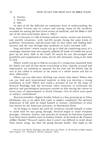- 6. Ouches
- 7. Prevent
- 8. Sith

In spite of all the difficulty we sometimes have in understanding the King James Version and its culture and setting, many of the incidents recorded are among the best-loved stories of mankind; and the Bible is still one of the most-used books there is. Why?

Isn't it because it's full of human-interest stories, actual case histories, and real-life situations—with real-life people facing the same kinds of problems, frustrations, and decisions that we face today and finding their answers and the way through their problems in God's revealed will?

Stop and think—where would you go to find the comforting story of a seemingly innocent man who unjustly suffered all kinds of trouble but never gave up his basic faith in the Lord? Of course he was discouraged and grumbled and complained at times, but he still ultimately clung to his faith in God.

Where would you go to find an account of a young man separated from his family ties and all that meant everything to him, unjustly accused and imprisoned, yet standing so squarely for his God and his beliefs that he was at last called to minister to the needs of a whole nation and did so most effectively?

Where can you find more thrilling true stories than these? Where else can you find such inspirational material to help you develop a strong confidence in God? Where else could a prisoner of war by the name of Howard Rutledge find the necessary inner resources to withstand the physical and psychological pressures exerted on him during the course of seven years of imprisonment in North Vietnam—five of which were spent in solitary confinement?

Howard attended a Baptist Sunday School as a boy growing up in Tulsa, Oklahoma, but as an adult had come to neglect completely the spiritual dimension of life until he found himself in solitary confinement in what was known by the American prisoners as Heartbreak Hotel.

As he began to realize the need for resources outside himself in order to stand what he was going through, Howard began to recall Scripture passages, choruses, hymns, and snatches of sermons he had been exposed to in those more carefree years in Sunday School. In his book *In the Presence of Mine Enemies\** Howard reports that it wasn't too difficult to recall about three dozen songs, but then the going became harder. One night as the

<sup>\*</sup> Howard and Phyllis Rutledge with Mel and Lyla White, *In the Presence of Mine Enemies*  (Old Tappan, N.J.: Fleming H. Revell Company, 1973).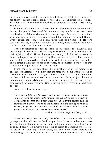#### SHOWERS OF BLESSING 33

rains poured down and the lightning knocked out the lights, he remembered his thirty-seventh gospel song, "There Shall Be Showers of Blessing." This led him to remember another, a contrasting piece, "Heavenly Sunshine."

In the brief snatches of conversation the prisoners could get away with during the guards' less watchful moments, they would most often share recollections of Bible stories and Scripture passages. One day Harry Jenkins, who occupied a nearby cell, remembered the story of Ruth and Naomi. Even though the story was nearly three thousand years old, Howard confides that they lived off it for days, rethinking what it meant and how it could be applied to their current need.

These recollections enabled them to overcome the physical and psychological pressures to which they were subjected and to resist having their spirits crushed. Howard states that, as a youth, he had not seen the value or importance of memorizing Bible verses or hymns; but, when it was too late to do anything about it, he wished time and again that he had taken better advantage of his opportunity to memorize more verses that would have helped make his days bearable.

Much could be written about the neglect of the art of memorizing passages of Scripture. We know that the time will come when we will be forbidden access to God's Word, just as Howard was, and will be dependent on that which we have stored in our memories. But even just the act of mechanically memorizing texts can sometimes get in the way of our discovering for ourselves what God is trying to put across in a particular passage.

Note the following challenge:

*There is but little benefit derived from a hasty reading of the Scriptures. One may read the whole Bible through and yet fail to see its beauty or comprehend its deep and hidden meaning. One passage studied until its significance is clear to the mind and its relation to the plan of salvation is evident, is of more value than the perusal of many chapters with no definite purpose in view and no positive instruction gained.* 

—Ellen G. White, *Steps to Christ,* p. 90.

When we really learn to study the Bible so that we can take a single passage and find all that the Lord has put there for us to understand, there will be both a deepening of our spiritual experience and a hunger for continued study. It's always a blessing to listen to someone who is well versed in its study explain the Bible, but how much more exciting and stimulating it is to be able to discover the deep significance of a Bible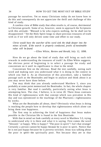passage for ourselves. Yet so many Christians today do not know how to do this and consequently do not appreciate the thrill and challenge of this kind of study.

A careless view of Bible study that often results is, of course, detrimental to Christian growth. Some of us, however, seem to approach the Scriptures with this attitude: "Blessed is he who expects nothing, for he shall not be disappointed." Yet the Holy Spirit longs to share precious treasures of truth with us if we will only devote some time and effort to our study.

*Christ would have the searcher of his word sink the shaft deeper into the mines of truth. If the search is properly conducted, jewels of inestimable value will be found.* 

—Ellen White, *Review and Herald,* July 12, 1898.

How do we go about the kind of study that will bring us such rich rewards in understanding the treasures of truth? As Ellen White suggests, the obvious point of beginning is to select a passage for study and concentrate on it until its significance is clear to the mind.

Concentrate first on the obvious. Read the text carefully, noting each word and making sure you understand what it is doing in the context in which you find it. As an illustration of this procedure, take a familiar passage such as the Beatitudes and begin to analyze and think about it as you may never have done before.

You may think that you already understand Matthew 5, since you probably at some point memorized the Beatitudes. In fact, the whole chapter is very familiar. But read it carefully, particularly noting what Jesus is attempting here. The clue, I believe, is in verse 20. There Jesus contrasts His kind of righteousness with that concept which was prevalent in His day and was epitomized in the teachings of the Pharisees—righteousness by works.

What are the Beatitudes all about, then? Obviously what Jesus is doing is teaching the people how to develop that righteousness which alone can bring them true happiness.

The first step in achieving the kind of happiness that Jesus makes possible in the Christian life is found in the first Beatitude.

With that in mind we look carefully at every word in Matthew 5:3, trying to understand why it is there and what it is saying. First comes the word "blessed," or happy. Who is happy? "The poor in spirit"! Isn't that strange! Certainly a person cannot be happy *because* he is poor in spirit. Notice that he is not just happy because he is poverty-stricken. Jesus was talking about the poor *in spirit*—the spiritually poor. Not because they *are* in that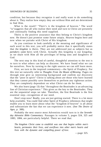#### SHOWERS OF BLESSING 35

condition, but because they recognize it and really want to do something about it. They realize how empty they are without Him and are determined to find Him.

What is the result? "Their's *is* the kingdom of heaven." The word "is"suggests that all who realize their need and turn to Christ are presently and continually finding this need supplied.

Theirs is the positive assurance that they belong to Christ's kingdom now. He doesn't just promise some future utopia. Heaven begins here and now when we partake with Christ of His kingdom.

As you continue to look carefully at the meaning and significance of each word in this text, you will probably notice that it specifically states that the *kingdom* is theirs. They are not addressed just as subjects but as *partakers*—joint heirs with Christ. Actually this kingship is our kingship, as we share with Him all the privileges of being sons and daughters of God.

The next step in this kind of careful, thoughtful attention to the text is to turn to what others can help us discover. We have found what we can for ourselves. Now by turning to the right sources we can still learn more.

First, we turn to the inspired commentary—the Spirit of Prophecy. For this text we naturally refer to *Thoughts From the Mount of Blessing.* Pages six through nine give us interesting background and confirm our discovery that the "poor in spirit" Christ is talking about are those who have learned that they cannot possibly save themselves or perform any righteous action. They are completely dependent on what Christ can do for them.

We also learn (page 13) that "throughout the Beatitudes is an advancing line of Christian experience." This gives us the key to the Beatitudes. They are the sequential steps we take. Therefore, the first Beatitude is the first essential step—recognition of our need.

Don't stop now! Really, you are just getting started. There is a lot more help available. You could find other Spirit of Prophecy references that might enable you to learn more about what the "kingdom of heaven" is all about and substantiate the fact that we can experience it now. (See *The Desire of Ages,* p. 388).

Probably the next source most Adventists would turn to is the *Seventhday Adventist Bible Commentary.* Passages in volume 5, pages 324, 325 and 1083, 1084, are particularly helpful. There we read that:

*The kingdom Christ came to establish was one that begins within men's hearts, permeates their lives, and overflows into other men's hearts and lives with the dynamic and compelling power of love.* 

—page 325.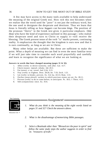A few may have access to the many tools available to help understand the meaning of the original Greek text. How rich this text becomes when we realize that the word used for "poor" is not just the ordinary word, but the one used to designate the desperate and destitute. Thus we learn that Jesus is literally telling us how *beggars* can become *kings.* The position of the pronoun "theirs" in the Greek text gives it particular emphasis. *Only those* who have the kind of experience outlined in this passage—who realize their desperate need and turn to Christ to supply it—will receive the blessing. The Greek present tense of the verb "is" marks present, continuing reality. It emphasizes the thought that the kingdom is ours now and that it is ours continually, as long as we are in Christ.

Many other helps are available. But these are sufficient to make the point. What a depth of meaning we can find in even the most familiar texts if we will just take time to consider each word prayerfully and carefully and learn to recognize the significance of what we are looking at.

#### **Answers to words that have changed meaning (pages 31 & 32):**

- 1. Affect (verb): to desire earnestly, seek after. Gal. 4:17.
- 2. Check (noun): reproof, rebuke. Job 20:3.
- 3. Fat (noun): a vat, vessel. Joel 2:24; 3:13.
- 4. Fray (verb): to frighten. Deut. 28:26; Jer. 7:33; Zech. 1:21.
- 5. Let (verb): to hinder, prevent. Ex. 5:4; Isa. 43:13; Rom. 1:13.
- 6. Ouches (noun plural): sockets in which precious stones are set. Ex. 28:11.
- 7. Prevent (verb): to do or come before, to anticipate. Ps. 18:5; 1 Thess. 4:15.
- 8. Sith (conjunction): since. Ez. 35:6.

The Continuing

-Assignment-



- *1. What do you think is the meaning of the eight words listed on pages 31 and 32? Check the answers above.*
- *2. What is the disadvantage of memorizing Bible passages.*
- *3. Select a Beatitude other than "Blessed are the poor in spirit" and follow the same study steps the author suggests in order to find its "treasures of truth."*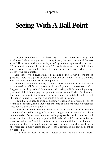## Chapter 6

# **Seeing With A Ball Point**

Do you remember what Professor Agassiz was quoted as having said in chapter 2 about using a pencil? He quipped, "A pencil is one of the best eyes." If he were with us nowadays, he'd probably rephrase that to read. "A ballpoint is one of the best eyes!" As we begin to take our Bible study more seriously, we need to form the habit of writing down what we are discovering for ourselves.

Sometimes, when giving talks on this kind of Bible study before church groups, I hold up a piece of blank paper and challenge, "What's the very best and most valuable use for this paper?"

There are innumerable uses, of course. You could wad it up and use it as a makeshift ball for an impromptu baseball game, as sometimes used to happen in my high school homeroom. Or, using a little more ingenuity, you could fold it into a paper airplane to amuse yourself with. Or if you've had some training in the Japanese art of origami, you might be able to fold the paper in such a way that you made a beautiful swan.

It could also be used to wrap something valuable in or to write directions or make a shopping list on. But what are some of the more valuable potential uses for a blank sheet of paper?

A millionaire could write a check on it. Or it could be used to write a famous and valuable autograph on. Or it might be used for a sketch by a famous artist. But an even more valuable purpose is that it could be used to save an individual or a group of individuals. Wouldn't that be by far the most valuable use? A letter might be written on it that could change someone's life. Or it could be used to write out a sermon that would over the years reach many hearts for Christ. Or a portion of the gospel might be printed on it.

Or it might be used to lead to a better understanding of God's Word.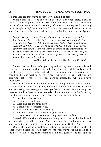It's this last use that we're particularly thinking of here.

What a thrill it is to be able to sit down with an open Bible, a pen or pencil, a piece of paper, and the presence of the Holy Spirit and produce a record of your own personal discovery of some of the deep truths waiting to be brought to light from the Word of God. It takes application and time and effort, but nothing worthwhile is ever gained without such diligence.

*Sharp, clear perceptions of truth will never be the reward of indolence. Investigation of every point that has been received as truth will richly repay the searcher; he will find precious gems. And in closely investigating every jot and tittle which we think is established truth, in comparing scripture with scripture, we may discover errors in our interpretation of Scripture. Christ would have the searcher of his word sink the shaft deeper*  into the mines of truth. If the search is properly conducted, jewels of *inestimable value will be found.* 

—Ellen White, *Review and Herald,* July 12, 1898.

Sometimes just the act of organizing and setting down in a simple and descriptive manner the thoughts and ideas that come while studying will enable you to see clearly that which you might not otherwise have recognized. Also writing down or drawing or outlining what you are studying enables you later to recall more accurately that which you have discovered.

Nearly all currently available guides to indepth Bible study include various kinds of charts, diagrams, and other such methods of writing down and analyzing the passage or passages being studied. Summarizing the reasons found in these various manuals, I have come up with the following list of what these techniques do. I find that they do these things:

- 1. Facilitate observation.
- 2. Crystallize thinking.
- 3. Help one see the total picture.
- 4. Enable better remembering.
- 5. Help avoid superficial reasoning.
- 6. Become a permanent record of your thinking.

7. Create useful and effective teaching tools and outlines.

Several different kinds of charts are being introduced in this book, and we hope that you will try them. Make sure you fully understand a chart and that using it results in a better understanding of God's Word.

One of the most beneficial contributions of using such charts is that it teaches us to become careful observers of the text we're looking at. To open the Bible to the twenty-third psalm and find and quickly read through the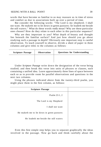#### SEEING WITH A BALL POINT 39

words that have become so familiar to us may reassure us in time of stress and comfort us due to associations built up over a period of time.

But consider the following words: "The Lord is my shepherd; I shall not want. He maketh me to lie down in green pastures: he leadeth me beside the still waters." What do these words *really* mean? Why are these particular ones chosen? How do they relate to each other in this particular sequence?

Why are they important to you? What depth of beauty and thought lies beneath the familiar surface? And just how should you go about studying such a passage in depth? Obviously one important step is careful observation. To teach yourself to observe, divide a sheet of paper in three columns and give titles to the columns as follows:

| <b>Scripture Passage</b> | <b>Observation</b> | <b>Questions for Understanding</b> |
|--------------------------|--------------------|------------------------------------|
|                          |                    |                                    |
|                          |                    |                                    |

Under *Scripture Passage* write down the designation of the verse being studied; and then break this verse into units of phrases or clauses, each containing a unified idea. Leave approximately three lines of space between each so as to provide room for parallel observations and questions in the next two columns.

Using the phrases indicated above from the twenty-third psalm, you might place them in the first column, as follows:

Even this first simple step helps you to separate graphically the ideas involved in the passage. Now go back and think carefully about the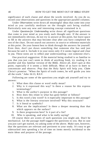significance of each clause and about the words involved. As you do so, record your observations and questions in the appropriate parallel columns.

Under *Observations* write down all meaningful ideas that come into your mind as you carefully meditate on the thought unit being studied. Particularly note any new and interesting concept contained in it.

Under *Questions for Understanding* write down all significant questions that come to your mind as you study each thought unit. If the answer is not immediately obvious, do not try to answer at this point, but leave space to fill in the answers that may become clear after you have completed the rest of the chart. Do not search out answers in source or reference materials at this point. Do your honest best to think through the answers for yourself. Even then, don't put down something that someone else has said just because he said it. Include it in your notes only if it seems logical and clear to *you.* These notes are to reflect *your* understanding—not someone else's.

One practical suggestion: If the material being studied is so familiar to you that you just can't seem to think of anything fresh, try reading it in another and less familiar version of the Bible. Above all, don't quit at this point, especially if it seems a little difficult. Most of us have to *learn* to concentrate and observe. *Pray* that the Holy Spirit will help you. *Claim*  Christ's promise: "When the Spirit of truth comes, he will guide you into all the truth." John 16:13, R.S.V.

Following are some of the questions you might ask yourself and try to answer:

- 1. What does this clause or word really mean?
- 2. Why is it expressed this way? Is there a reason for this express terminology?
- 3. What is the author's purpose in this passage?
- 4. How does this relate to what has gone before or follows?
- 5. Is this word a key word? Is it especially important to this passage?
- 6. What is the literary structure involved? Why this structure?
- 7. Is it literal or symbolic?
- 8. What are the implications? Is there a deeper meaning than that which appears on the surface?
- 9. Is there progression here? Is it part of a list?
- 10. Who is speaking, and what is he really saying?

Of course there are scores of such questions you might ask. Don't be mechanical. Let the passage itself suggest the questions to you. But in case you just can't get started, try asking some of the above. Make sure, however, that the questions are relevant and pertinent to your study. It's easy to get sidetracked into spending a lot of time on items merely incidental to the main ideas and purpose of the passage.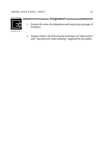

*2. Analyze Psalm 1 by following the techniques of "observation" and "'questions for understanding" suggested by the author.*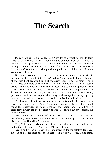## **The Search**

Many years ago a man called Doc Noss found several million dollars' worth of gold bricks—at least, that's what he claimed. Doc, part Cheyenne Indian, was an agile fellow. He told any who would listen that during an outing he found the gold at the bottom of a deep cavern in the Umbrillo Basin area of New Mexico. Along with the gold, Doc said, he saw 27 human skeletons tied to posts.

But times have changed. The Umbrillo Basin section of New Mexico is now part of the United States Army's White Sands Missile Range. Rumors of the gold kept cropping up, but the Army considered the story a hoax and refused explorers entry into the area. Finally, however, a Florida-based group known as Expedition Unlimited was able to obtain approval for a search. They were not only determined to search for that gold but had \$75,000 to invest in the project. Norman Scott, the leader of the group, persuaded the Army to suspend all activity on the range for ten days, giving them time to make a thorough and well-organized search of the area.

The lure of gold attracts certain kinds of individuals. Joe Newman, a carpet salesman from El Paso, Texas, put forward a claim that any gold found there belonged by right to the Apache Indians and worked out an arrangement with the tribe whereby he would receive a cut for representing their interests.

Jesse James III, grandson of the notorious outlaw, asserted that his grandfather, Jesse James I, was not killed but went underground and buried his loot in the Umbrillo Basin area.

Tony Tully, an elderly member of the expedition team, insisted that he had actually helped Doc Noss bury 110 bars of gold.

Urged on by Doc's widow, the team searched for the allotted ten days, plus an additional three that the longsuffering Army allowed. Using metal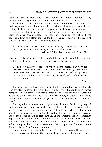detectors, ground radar, and all the modern instruments available, they did discover many unknown tunnels and caverns. But no gold.

At the end of thirteen days the disappointed members of the team went their separate ways. Some are still convinced, however, that millions, perhaps billions, of dollars worth of gold are still there—somewhere.

As this incident illustrates, those who search for treasure hidden in the earth are often disappointed. But those who continue to put forth the necessary time and effort seeking for the treasure hidden in the Word of God will *always* find it. We are plainly told that:

*In God's word is found wisdom unquestionable, inexhaustible*—w*isdom that originated, not in the finite, but in the infinite mind.*  —Ellen White, *Testimonies,* vol. 6, p. 132.

However, this wisdom is often buried beneath the rubbish of human wisdom and tradition; so we must perseveringly search for it.

*To many the treasures of the word remain hidden, because they have not been searched for with earnest perseverance until the golden precepts were understood. The word must be searched in order to purify and prepare those who receive it to become members of the royal family, children of the heavenly King.* 

*—Ibid.* 

The promised results certainly make the time and effort expended vastly worthwhile. To some the techniques of inductive Bible study seem rather complicated, but they really aren't. After all, they are really only what we do all the time when we study the Bible. However, an attempt is made to systematize them so that we can get the most for the amount of time we spend.

Making a list may seem too simple to be of value. But it really pays. I find this out every time I go to the store without a list, for I always end up paying more than if I have one. It is interesting to note when a Bible author uses lists, such as Paul's listing of the fruit of the spirit in Galatians 5:22, 23 and of the heroes of faith in Hebrews 11. There's Peter's ladder of Christian experience in 2 Peter 1:5-8. Incidentally, note that it begins with faith and ends with love, just as does 1 Corinthians 13:13. Jesus listed the seven steps to becoming children of God in Matthew 5:3-9, and perhaps the most famous list of all is the Ten Commandments.

But even more interesting is finding Bible lists for yourself that are not always so obvious. Some of the kinds of things you can list are as follows: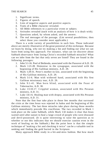- 1. Significant terms.
- 2. Figures of speech.
- 3. Lists of negative aspects and positive aspects.
- 4. Traits of a Bible character revealed.
- 5. All Bible references to a particular event or subject.
- 6. Attitudes revealed (each with an analysis of how it is dealt with).
- 7. Questions asked, by whom asked, and the answer.
- 8. The real messages of the passage. (List several possibilities; then select those you consider most applicable.)

There is a wide variety of possibilities in such lists. Those indicated above are merely illustrative of the great potential of this technique. Because we learn by doing, why not try making a list and finding out what we can learn from using this approach. For instance, what can we discover about Sabbath observance from listing Christ's recorded Sabbath miracles? What can we infer from the fact that only seven are listed? They are found in the following passages:

- 1. John 5:1-16. Pool of Bethesda, associated with the Passover of A.D. 29.
- 2. Mark 1:21-28. Demoniac in the synagogue, associated with the beginning of His Galilean ministry, A.D. 29.
- 3. Mark 1:29-31. Peter's mother-in-law, associated with the beginning of His Galilean ministry, A.D. 29.
- 4. Mark 3:1-6. Man with withered hand, associated with His first Galilean missionary tour, A.D. 29.
- 5. John 9:1-41. Man born blind, associated with the Feast of Tabernacles, A.D. 30.
- 6. Luke 13:10-17. Crippled woman, associated with His Peraean ministry, A.D. 31.
- 7. Luke 14:1-6. Healing man with dropsy, associated with His Peraean ministry, A.D. 31.

Note that the first four take place in those few months that surround the crisis at the time Jesus was rejected in Judea and the beginning of His Galilean ministry. The last three miracles take place during those months which immediately precede His crucifixion. The two recorded in Mark 1 took place on the same Sabbath, while Mark 1:32 makes it clear that Jesus waited until after sunset to heal a large crowd of people who were diseased and devil-possessed. (It is quite interesting to raise the question as to whether or not this indicates that we should exercise caution even in the work of healing on the Sabbath.) But the point here is that the simple technique of "making a list and checking it twice" can be a valuable tool in seeking and finding the gold buried in the Scripture.

Many approach Bible study in a hit-and-miss fashion. But how much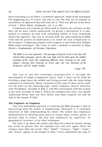more rewarding it is to follow a systematic approach. Some of the techniques I'm suggesting are, of course, not new to you; but they are an attempt to systematize an approach that will lead you to "find new glories in the word of God."—Ellen White, *Testimonies,* vol. 5, p. 266.

Comparison and contrast are often used to express our concepts so that they can be more clearly understood. In giving a description it is only natural to compare an item with something similar or even something almost the opposite. One way to increase both our understanding of Bible truth and our powers of observation is to watch for such comparisons in the Scripture. Comparing scripture with scripture is one of the most familiar Bible-study techniques. The value of such a method is outlined in Ellen White's *Fundamentals of Christian Education:* 

*The Bible is its own expositor. One passage will prove to be a key that will unlock other passages, and in this way light will be shed upon the hidden meaning of the word. By comparing different texts treating on the same subject, viewing their bearing on every side, the true meaning of the Scriptures will be made evident.* 

—page 187.

One way to use this technique systematically is through the development of simple comparison charts. Such a chart can be made by dividing a page down the middle and listing on each side the items being compared or contrasted. Many variations of this type of chart can be used. Use the chart on the following page, which compares Christ's interview with Nicodemus, recorded in John 3, with His conversation with the woman at the well, recorded in John 4. When you complete this chart, you should understand better than you have before why these chapters are side by side in the Gospel of John.

#### **The Emphasis on Emphasis**

One very interesting approach to studying the Bible passage is that of discovering what the author is emphasizing. Obviously it is extremely important in fully understanding his intent. The author may emphasize quantitatively by devoting more space to certain ideas, events, places, or persons than to others. He may also emphasize by repetition, by grammatical structure, or by other techniques.

We learn a lot about the author and about his intent by merely noting key words or phrases that are repeated over and over again. Note, for instance, how often the words "life," "belief," "witness," "light," "water," and "bread" appear in the Gospel of John. I have underlined my copy of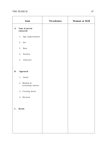|                | Item                                | <b>Nicodemus</b> | Woman at Well |
|----------------|-------------------------------------|------------------|---------------|
| $\mathbf{A}.$  | Type of person<br>contacted:        |                  |               |
|                | 1. Age (approximate)                |                  |               |
|                | 2.<br>Sex                           |                  |               |
|                | 3.<br>Race                          |                  |               |
|                | 4. Position                         |                  |               |
|                | 5.<br>Character                     |                  |               |
|                |                                     |                  |               |
| <b>B.</b>      | Approach:                           |                  |               |
|                | Initial<br>1.                       |                  |               |
|                | 2. Method of<br>sustaining interest |                  |               |
|                | 3. Creating desire                  |                  |               |
|                | 4. Decision                         |                  |               |
|                |                                     |                  |               |
| $\mathbf{C}$ . | Result                              |                  |               |
|                |                                     |                  |               |
|                |                                     |                  |               |
|                |                                     |                  |               |
|                |                                     |                  |               |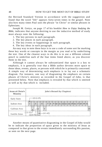the Revised Standard Version in accordance with the suggestion and found that the word "life" appears forty-seven times in the gospel. Note also how many times Paul uses the phrase "in Christ" or similar phrases in Ephesians.

Joseph M. Gettys, on page 17 of his booklet *How to Enjoy Studying the Bible,* indicates that anyone desiring to use the inductive method of study must always note the following:

- 1. The key persons in each paragraph.
- 2. The key places in each paragraph.
- 3. The key events or happenings in each paragraph.
- 4. The key ideas in each paragraph.

An easy way to note these keys is to use a code of some sort for marking these key words or concepts in the margin as you read or by underlining the text. One of the clearest ways to do this is to use a different colored pencil to underline each of the four items listed above, as you discover them in the text.

Although it cannot always be substantiated that space is a key to emphasis, it is generally true that a Bible author devotes more space to those ideas, events, places, or persons with which he is primarily concerned. A simple way of determining such emphasis is to lay out a schematic diagram. For instance, one way of diagraming the emphasis on certain phases of Christ's ministry as recorded in the Gospel of John, is that presented below. Note that emphasis is revealed by that which is omitted as well as by that which is included.

| <b>Areas of Christ's</b><br>Ministry |            |   |              |             |   |   |                   |   |  | John's Record (by Chapters)        |  |  |  |  |    |
|--------------------------------------|------------|---|--------------|-------------|---|---|-------------------|---|--|------------------------------------|--|--|--|--|----|
| Early Years                          |            |   |              | $(2:12-25)$ |   |   |                   |   |  |                                    |  |  |  |  |    |
| Judean Area                          |            |   | $\mathbf{3}$ |             | 5 |   | $\overline{\tau}$ | 8 |  | 9 10 11 12 13 14 15 16 17 18 19 20 |  |  |  |  |    |
| Galilean Area                        |            | 4 |              |             |   | 6 |                   |   |  |                                    |  |  |  |  | 21 |
| Gentile Areas                        | $(2:1-11)$ |   | $(4:43-54)$  | ٠           |   |   | $-(4:1-42)$       |   |  |                                    |  |  |  |  |    |

Another means of quantitative diagraming in the Gospel of John would be to indicate the proportion of space given to the ministry of Jesus as compared to that given to the events immediately surrounding His passion, as seen on the next page.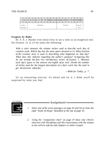|                   | $\mathbf{R}$ |  |          |  |  | 5 6 7 8 9 10 11 12 13 14 15 16 17 18 19 20 21 |  |         |  |                 |  |
|-------------------|--------------|--|----------|--|--|-----------------------------------------------|--|---------|--|-----------------|--|
| Intro-<br>duction |              |  | Ministry |  |  |                                               |  | Passion |  | Conclu-<br>sion |  |

#### **Exegesis by Ruler**

Dr. F. E. J. Harder even shows how to use a ruler as an exegetical tool. For Genesis 1:1 to 2:3 he states the following:

*With a ruler measure the column inches used to describe each day of creation week. Which day has the most space devoted to it? What fraction of the creation story is used in describing what happened on that day? What does this indicate regarding the author's purpose? In figuring this do not include the first two introductory verses of Genesis 1. Measure each day's space to the nearest one-eighth of an inch. Divide the number of inches used for the longest description of a day's work into the total to get the fraction asked for.* 

—*Bible for Today,* p. 7.

It's an interesting exercise. Go ahead and try it. I think you'll be surprised by what you find.



*1. Select one of the seven passages on page 45 and list at least the eight "kinds of things" identified at the top of page 45.* 

-Assignment

*2. Using the "comparison chart" on page 47 show why Christ's interview with Nicodemus and His conversation with the woman at the well are side-by-side chapters in John's Gospel.*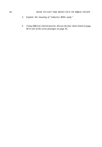### 50 HOW TO GET THE MOST OUT OF BIBLE STUDY

- *3. Explain the meaning of "inductive Bible study."*
- *4. Using different colored pencils, discuss the four items listed on page 48 in one of the seven passages on page 45.*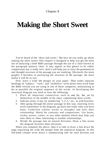## Chapter 8

# **Making the Short Sweet**

You've heard of the "short and sweet." But how do you really go about making the short sweet? This chapter is designed to help you get the most out of analyzing a brief Bible passage through the use of a chart known as the paragraph analysis chart. It may appear at first glance to be rather complicated, but it really isn't. And it will help you to trace the grammatical and thought structure of the passage you are studying. Obviously the more graphic it becomes in portraying the structure of the passage, the more useful it will be to you.

First, leave a wide left margin on your paper. Then under separate headings of "subject," "verb," and "modifiers" write down *every* word from the Bible version you are using in one of these categories, maintaining as far as possible the original sequence of the words. In developing this structural diagram you need to note the following:

- 1. Place all important connectives such as *and, for, but, yet* by themselves in the middle of the chart, capitalizing these words.
- 2. Indicate series, if any, by numbering  $1,2,3$ , "etc., or with brackets.
- 3. After going through the entire passage in this way, inserting every word somewhere in the diagram, go back and study what you have done. Underline similar words or thoughts and note their relationship. Watch for contrasts and comparisons. Use boxes, circles, arrows, colors, or any other method which may help you note these or other interesting or notable relationships.
- 4. Divide the passage into its natural divisions. Draw a line across the diagram between these divisions.

When you complete the above, then it is time to draw a line down the page separating the wide left margin from the analytical diagram. In this left-hand column write down a summarizing title for each division you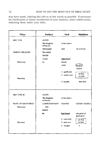## 52 HOW TO GET THE MOST OUT OF BIBLE STUDY

may have made, limiting this title to as few words as possible. If necessary for clarification or future recollection of your analysis, insert subdivisions, indenting them under your titles.

| Titles                 | Subject                  | <b>Verb</b>    | <b>Modifers</b>             |
|------------------------|--------------------------|----------------|-----------------------------|
| Matt. 13:44            | AGAIN                    |                |                             |
|                        | The kingdom<br>of heaven | is like unto-  |                             |
|                        | <b>TREASURE</b>          | HID.           | IN A FIELD                  |
| <b>HIDDEN TREASURE</b> | The which                |                |                             |
|                        | <b>WHEN</b>              |                |                             |
|                        | A man                    | hath found     |                             |
| Discovery              | he                       | hideth         |                             |
|                        |                          | <b>AND</b>     | (for JO)                    |
|                        |                          |                | thereof                     |
|                        |                          | 1. goeth and   | all that                    |
|                        |                          | 2 selleth and  | he hath                     |
| Recovery               |                          |                |                             |
|                        |                          | 3. buyeth      | that field                  |
|                        |                          |                |                             |
| Matt. 13:45, 46        | <b>AGAIN</b>             |                |                             |
|                        | The kingdom<br>of heaven | is like unto-  |                             |
| PEARL OF GREAT PRICE   | A MERCHANTMAN            | <b>SEEKING</b> | <b>GOODLY PEARLS</b>        |
| Discovery              | who                      |                |                             |
|                        | <b>WHEN</b>              |                |                             |
|                        | he                       | had found      | one pearl of<br>great price |
|                        |                          | 1. went and    | ali that                    |
| Recovery               |                          | 2. sold and    | he had                      |
|                        |                          | 3. bought      | it                          |
|                        |                          |                |                             |
|                        |                          |                |                             |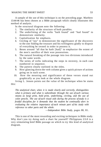#### MAKING THE SHORT SWEET 53

A sample of the use of this technique is on the preceding page. Matthew 13:44-46 has been chosen as a Bible paragraph which clearly illustrates this method of analysis.

In the structural diagram note the following:

- 1. The similarity of the structure of both parables.
- 2. The underlining of the verbs "hath found" and "had found" to demonstrate similarity.
- 3. Capitalization for emphasis.
- 4. Circling of "joy" to demonstrate the significance of the discovery to the one finding the treasure and his willingness gladly to dispose of everything he owned in order to possess it.
- 5. Boxes around "all that he hath [had]" to emphasize the extent of the men's sacrifice of their won possessions.
- 6. The natural breaking of the passage into two divisions introduced by the same words.
- 7. The series of verbs indicating the steps in recovery, in each case numbered in sequence.
- 8. The pattern clearly outlined in the titles.
- 9. How glancing down the verb column gives a quick picture of actions going on in each scene.
- 10. How the meaning and significance of these verses stand out graphically as you look at the whole diagram.

Irving L. Jensen points out the value of the technique when he states this:

*The analytical chart, when it is made clearly and correctly, distinguishes what is primary and what is subordinate through the use of such various means as large print, bold print, underlining, circling, and the use of color pencils. The use of such visual aids during the process of study is a fruitful discipline, for it demands that the student be continually alert in evaluating the relative importance of each minute part of his study with reference to other parts and the whole.* 

—*Independent Bible Study*, pages 80, 81.

This is one of the most rewarding and exciting techniques in Bible study. Why don't you try doing such a chart for yourself? Philippians 2:5-9 is a very stimulating brief Bible passage on which to try this kind of analytical diagram.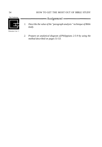

*2. Prepare an analytical diagram of Philippians 2:5-9 by using the method described on pages 51-53.*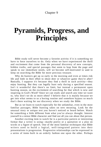## **Pyramids, Progress, and Principles**

Bible study will never become a favorite activity if it is something we have to force ourselves to do. Only when we have experienced the thrill and excitement that come from the personal discovery of new concepts, hidden truths, and special passages that seem to leap from the page and speak to our immediate needs, will we become self-motivated to *want* to keep on searching the Bible for more precious treasure.

Why do hunters get up so early in the morning and even at times risk life and limb in their effort to shoot deer or whatever game they're after? Basically, I suppose it's because they find a thrill in such activity—they enjoy hunting. But they can legally hunt only during a specified season. Isn't it wonderful that there's no limit, but instead a permanent open hunting season, on the excitement of searching for that which is new and inspiring in God's Word? Since we can study and search any time we want to, why don't we do so more often? I believe that it is mainly because we get into what seems to us a boring routine and somehow bypass so much that's there waiting for our discovery when we study the Bible.

But as we learn to watch especially for the unfamiliar, even in the most familiar passages, Bible hunting takes on new meaning. Look for the unusual story or unique text you haven't noticed or heard before. Watch for something a little different from what you've always thought. Interest yourself in a minor Bible character and find out all you can about that person.

Another exciting item to watch for is a particular pattern or interesting format that a writer is using—maybe poetry or a quotation or a play on words or a figure of speech. One of the most familiar techniques that Bible writers used to build a logical, well-integrated pattern into their presentations is progression. Progressive relationships can be expressed in a series of items built in an orderly fashion one upon the other. Perhaps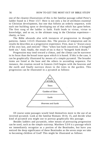one of the clearest illustrations of this is the familiar passage called Peter's ladder found in 2 Peter 1:5-7. Here is not only a list of attributes essential to Christian development, but one that follows an orderly sequence, with each one building upon or developing out of that which has gone before. The first rung of the ladder is faith. Faith leads to virtue, virtue to knowledge, and so on, to the ultimate rung in the Christian experience charity, or love.

The Bible abounds also with instances of progression in thought patterns. James 1:13-15 illustrates this. The process of temptation and its results he describes as a progressive experience. First, man is "drawn away of his own lust, and enticed." Then "when lust hath conceived, it bringeth forth sin." And, finally, the result of sin is that it "bringeth forth death."

Progression may tend toward a climax, and the climax can be narrower in its focus than the broad issue upon which it is based. If this is the case, it can be graphically illustrated by means of a simple pyramid. The broader items are listed at the base and the others in ascending sequence. For instance, the creation record in Genesis 2:4-9 begins with the heavens and the earth and finally narrows down to the trees in the garden. This progression can be illustrated in a pyramid as follows:



Of course some passages would lend themselves more to the use of an inverted pyramid. Look at the familiar Romans 10:14, 15, and decide what kind of pyramid you might use to portray graphically this passage.

Besides ladders and pyramids, other means of portraying progression can be used, such as the simple stairstep. Matthew 5:3-9 is a passage which we immediately recognize as a portion of the Beatitudes, but have you noticed the deep significance of these Beatitudes as the seven steps we take to becoming children of God? This might be illustrated as follows: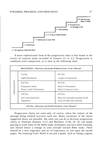

v. 3 Recognition of Spiritual Need

A more sophisticated form of the progression chart is that found in the events of creation week recorded in Genesis 1:1 to 2:3. Progression is combined with comparison, as is seen in the following chart:

| PREPARATION | 1st Day<br>Light Introduced                         | 4th Day<br>Lights in Firmament                                        |  |  |  |  |  |
|-------------|-----------------------------------------------------|-----------------------------------------------------------------------|--|--|--|--|--|
|             | 2nd Day<br>Firmament made<br>Waters under Firmament | 5th Day<br><b>Birds in Firmament</b><br>Water Creatures in Sea        |  |  |  |  |  |
|             | 3rd Day<br>Dry Land Appeared<br>Vegetation          | 6th Day<br>Man and Animals Populate Earth<br>Food for Man and Animals |  |  |  |  |  |

Progression charts are used only, of course, when the context of the passage being studied warrants such use. Many variations of the charts suggested above are possible. See what you can do to develop progression charts to illustrate Romans 5:1-5 and Matthew 11:28, 29. As you begin putting to work some of the Bible-study techniques you have been learning, you should notice a change in your attitude toward Bible study. There should be a new eagerness and air of expectancy as you open the sacred pages. Yet studying God's Word is not just a game, such as fitting a jigsaw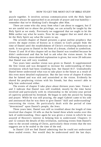puzzle together. It involves serious communication with the Holy Spirit and must always be approached in an attitude of prayer and true humility remember that we're thinking God's thoughts after Him.

There are some who shy away from what I am about to suggest, but if we are careful not to abuse the privilege, we can actually be taught by the Holy Spirit as we study. Previously we suggested that we ought to let the Bible author say what he wants. Now let me suggest that we need also to let the Holy Spirit say what He wants to say.

The seventh chapter of Daniel presents a great outline prophecy that covers the major events of history as it relates to God's people from the time of Daniel until the establishment of Christ's everlasting dominion on earth. It was given to Daniel in the form of a dream, clothed in symbolism. Verses 15 and 16 of this chapter tell us that Daniel was troubled because he didn't understand and that he had to ask what the vision meant. In the following verses a more detailed explanation is given, but verse 28 indicates that Daniel was still very troubled.

Two years later another vision was given to Daniel. It supplemented the first vision and was designed to increase his understanding of these revelations which had been troubling him. See Daniel 8:17. Undoubtedly Daniel better understood what was to take place in the future as a result of this even more detailed explanation. But the last verse of chapter 8 relates that he fainted and was sick and astonished at the vision. Evidently he shared his perplexing visions with his friends, but they weren't able to help him understand either.

The events of chapter 9 take place about thirteen years later. Verses 2 and 3 indicate that Daniel was still troubled, mostly by the time factor involved and particularly with its relationship to the seventy-year period of captivity predicted by Jeremiah. He began to seek the answer by fasting and prayer. While he was still praying, the angel Gabriel came to his side and announced that he was there to give Daniel "skill and understanding" concerning the vision. He particularly dealt with the period of time "determined" upon Daniel's people, the Jews.

Three years later, Daniel was still so troubled about the length of time involved that chapter 10 tells us that he fasted three whole weeks over this lack of understanding. Once again he was given a vision in which he was assured of Heaven's interest in helping him to understand. Chapters 11 and 12 contain the details of this revelation, outlining events from Daniel's time to the second coming of Christ, particularly those events that the text suggests are to be sealed to the time of the end.

In Daniel 12:8 we find Daniel admitting that he could not understand these sealed events. Nor would they be understood until the last days.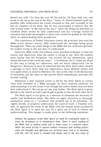#### PYRAMIDS, PROGRESS, AND PRINCIPLES 59

Daniel was told, "Go thou thy way till the end be: for thou shalt rest, and stand in thy lot at the end of the days." Verse 13. Daniel himself could not possible fully understand the events revealed to him and recorded in the last six chapters of his book. But he was encouraged to believe that the time would come "at the end of the days" when the things he had been so troubled about would be fully understood and his writings would be unsealed and made meaningful to those who would be guided by the Holy Spirit in understanding these prophecies.

This experience of Daniel illustrates clearly the principle that even the Bible writer doesn't always fully understand the message being given through him. There are some things in the Bible that are reserved especially for readers living in the last days to understand.

Inductive Bible study first follows every possible technique to find out exactly and objectively what the author is trying to say. Next the student must realize that the Scriptures "are written for our admonition, upon whom the ends of the world are come." 1 Corinthians 10:11. Some are afraid of this step as being too subjective, and too much subjectivity can be dangerous. However it must be admitted that the Holy Spirit often intends a passage to have more than one application. Jesus Himself clearly had two applications in mind in Matthew 24—one to the time of the destruction of Jerusalem and the other to that period which immediately precedes His second coming.

Whenever a later inspired writer is led by the Holy Spirit to convey what God intended in a Bible passage, we have inspired authority for understanding it in this sense, even though the earlier author may not have thus understood it. We can go yet one step farther. The Holy Spirit is given *directly* to the church as God's special gift to guide us into all truth. John 16:13.

The Holy Spirit is not given as a shortcut to eliminate the necessity of careful and methodical study. But when we apply ourselves to thorough, methodical study as a "workman that needeth not to be ashamed," we rightly divide, or properly understand, the word of truth. 2 Timothy 2:15. Still, to approach the study of the Bible with the human mind unaided by the Holy Spirit is to open the way for a spirit not of God to control our understanding. This danger is made plain in the following statement:

*Without the guidance of the Holy Spirit we shall be continually liable to wrest the Scriptures or to misinterpret them. There is much reading of the Bible that is without profit and in many cases is a positive injury. When the word of God is opened without reverence and without prayer; when the thoughts and affections are not fixed upon God or in harmony*  with His will, the mind is clouded with doubt; and in the very study of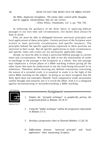#### 60 HOW TO GET THE MOST OUT OF BIBLE STUDY

*the Bible, skepticism strengthens. The enemy takes control of the thoughts, and he suggests interpretations that are not correct.*  —Ellen White, *Testimonies,* vol. 5, pp. 704, 705.

In following the guidance of the Holy Spirit in applying biblical passages to our own time and circumstances, two factors must always be kept in mind:

*First,* we must be able to *distinguish* between universal principles and local applications of these principles. Certain portions of the Scripture were written to meet particular circumstances and specific instances. The principles behind the specific applications expressed in these portions are universal in their scope. But all specific applications to local circumstances and specific times and events are not necessarily applicable today.

*Second,* we must be able to relate a particular biblical passage to current times and circumstances. We must be able to see the relationship of truths or teachings in the passage to the Scriptures as a whole. Any one passage may emphasize a certain phase of a Bible teaching without giving all the other facets that must be understood to see the truth being discussed in its wholeness. Therefore, before drawing any definite conclusions concerning the nature of a revealed truth, it is essential to study it in the light of the entire Bible teaching on the subject. In doing so we must recognize that the Holy Spirit does not contradict Himself. Such comparative study necessitates careful thought and research, but it is worth the effort. And it is a safeguard against misinterpreting or misunderstanding a Bible teaching.



- $-Assignment -$
- *1. Employ the "pyramid technique" to graphically portray the progression found in Romans 10:14-15.*
- *2. Using the "ladder technique" outline the progressive steps found in Romans 5:1-5.*
- *3. Develop a progression chart to illustrate Matthew 11:28, 29.*
- *4. Differentiate between "universal principle" and "local application" when interpreting Scripture.*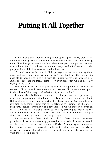## Chapter 10

# **Putting It All Together**

When I was a boy, I loved taking things apart—particularly clocks. All the wheels and gears and other pieces were fascination to me. But putting them all back together was something else! I had parts and pieces scattered everywhere. But I could not restore too many mechanical objects to the purpose for which they were originally intended.

We don't want to tinker with Bible passages in that way, tearing them apart and analyzing them without putting them back together again. It's possible to become so involved with the single words and phrases of a Bible passage that we might completely overlook what God is basically trying to say to us.

How, then, do we go about putting it all back together again? How do we set it all in the right framework so that we see all the component parts in their beautifully integrated relationship to each other?

Summarizing individual verses, a technique we have previously described, helps us understand more readily what these verses are all about. But we also need to see them as part of their larger context. One most helpful exercise in accomplishing this is to attempt to summarize the entire scriptural section—whether it be a few verses, a whole chapter, or even an entire Bible book—in just a sentence or two, striving to capsulize the author's concept in our own words. At times we might develop a simple chart that succinctly summarizes the passage.

For instance, Matthew 24:32 through Matthew 25 contains seven parables or illustrations teaching preparedness and what it means to watch and be ready for the second coming of Christ. Attempting to summarize these in as few words as possible can be quite a challenge. After nearly an entire class period of working on this project, one of my classes came up with the following chart: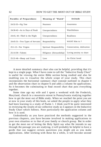| Parables of Preparedness           | Meaning of "Watch"       | Attitude                 |
|------------------------------------|--------------------------|--------------------------|
| $24:32-35$ —Fig Tree               | <b>Nearness</b>          | Awareness                |
| $24:36-42$ —As in Days of Noah     | Unexpectedness           | Watchfulness             |
| $24:43$ , $44$ —Thief in the Night | Unexpectedness           | Readiness                |
| 24:45-51—Two Types of Servants     | Responsibility           | WANT Him to ?            |
| $25:1-13$ —Ten Virgins             | Spiritual Responsibility | Consecration, dedication |
| $25:14-30$ —Talents                | Diligence (Stewardship)  | Loving anxiety to share  |
| $25:31-46$ -Sheep and Goats        | Love                     | As Christ loved          |

A more detailed summary chart also can be helpful, providing that it's kept to a single page. What I have come to call the "Inductive Study Chart" is useful for viewing the entire Bible section being studied and also for enabling you to visualize the whole scope of your study. This chart incorporates the horizontal summary chart concept outlined in chapter 4 and the observation chart in chapter 6 and adds a column for applications. So it becomes the culminating or final record chart that puts everything together.

Some time ago my wife and I spent a weekend with the Frederick, Maryland, church in a mountain retreat in Pennsylvania studying together how to get the most out of Bible study. When we reached the point you are at now in your study of this book, we asked the people to apply what they had been learning to a study of Psalm 1. I think you'll be quite interested in reviewing the results of our collective study as it appears in the Inductive Study Chart which follows. Note particularly the application column and how it is used.

Undoubtedly as you have practiced the methods suggested in the previous chapters, you have become involved in making applications to your own situation or to that of your family or church group. But in order to get the most out of letting the Holy Spirit say what He intends to say through the passage you are studying, it will probably be helpful to have a guide that can suggest certain questions you might ask as you make applications. After working with these for a while, it will become second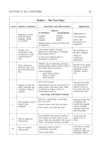| <b>Psalm 1 - The Two Ways</b> |                                                                                      |                                                                                                                                                                                                  |                                                                                                                                |  |  |  |  |  |
|-------------------------------|--------------------------------------------------------------------------------------|--------------------------------------------------------------------------------------------------------------------------------------------------------------------------------------------------|--------------------------------------------------------------------------------------------------------------------------------|--|--|--|--|--|
| <b>Verse</b>                  | <b>Sentence Summary</b>                                                              | <b>Questions and Observations</b>                                                                                                                                                                | Application                                                                                                                    |  |  |  |  |  |
| $\mathbf{1}$                  | Happiness comes<br>from not being<br>ungodly, sinful,<br>or scornful.                | <b>Degrees</b><br>of wickedness<br>of participation<br>walketh<br>ungodly<br>sinners<br>standeth<br>scornful<br>sitteth<br>Righteousness is here described first<br>in negatives.                | Righteousness=<br>True happiness<br>God is fair:<br>He desires our<br>happiness.                                               |  |  |  |  |  |
| $\overline{c}$                | Instead, one<br>continually finds<br>his pleasure in the<br>revealed will of<br>God. | Law=whole Torah. Constant<br>pleasure in reflecting on it=delight.<br>Preoccupied with it.<br>In this verse righteousness is<br>described in positives.                                          | By beholding we<br>become changed.<br>Need for<br>continuous<br>meditation.                                                    |  |  |  |  |  |
| 3                             | Like a good tree<br>he bears fruit, and<br>the Lord blesses his<br>life.             | Planted-not accidentally growing-<br>being carefully tended. River=water of<br>life-Holy Spirit's ministry.<br>Three blessings:<br>good fruit in season<br>doesn't wither<br>shall prosper       | Results of the godly<br>life are as certain as<br>good fruit is on a<br>carefully tended<br>tree.                              |  |  |  |  |  |
| $\overline{4}$                | Wicked are like the<br>chaff, transient and<br>worthless. They're<br>rootless.       | NOT SO=Contrast<br>Tree held prisoner by its roots but in<br>reality grows and bears fruit. Chaff<br>is free but in reality a slave to<br>environment and sin.<br>Tree=Long Life/Chaff=Transient | We must be rooted<br>and grounded in<br>Jesus if we are to<br>bear fruit and lead<br>worthwhile lives.                         |  |  |  |  |  |
| 5                             | The ungodly cannot<br>stand in the<br>judgment.                                      | Must be a separation—each finds<br>his own level.<br>Sinners=those who miss the mark.<br>The wicked can't take the heat!                                                                         | Because of their lack<br>of stability and<br>interest the ungodly<br>cannot eternally<br>associate with God<br>and His people. |  |  |  |  |  |
| 6а                            | Way of righteous:<br>God knows.                                                      | God KNOWS the natural results of<br>our choices far better than we can<br>know. They are revealed in the verses<br>above. His people prosper eternally.                                          | In His love He<br>seeks to let us<br>know.                                                                                     |  |  |  |  |  |
| 6b                            | Way of ungodly:<br>shall perish.                                                     | Separation from all that is<br>worthwhile, eternally.<br>The second death.                                                                                                                       | God tells us clearly<br>so that we can<br>make the right and<br>intelligent choice.                                            |  |  |  |  |  |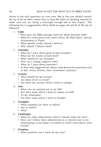nature to ask such questions on your own. But at first you should consult the list if for no other reason than to form the habit of checking yourself to make sure you are doing a thorough enough job in this respect. The following list is suggested by Oletta Wald on pages 44 and 45 of *The Joy of Discovery:* 

- 1. **Faith** 
	- What does the Bible passage teach me about personal faith?
	- What do I learn about God, Jesus Christ, the Holy Spirit, and my relationship to Them?
	- What specific truths should I believe?
	- Why should I believe them?

## 2. **Attitudes**

- What do I learn about good or bad attitudes?
- What are the results of each kind?
- What should be my attitudes?
- How can I change negative ones?
- What do I learn about emotions?
- Is there help suggested for release from destructive emotions such as fear, worry, anxiety, hate, resentment, jealousy?

## 3. **Actions**

- What should be my actions?
- Are there errors to avoid?
- Are there any actions which I need to change?
- 4**. Sins** 
	- What sins are pointed out in my life?
	- Are there some which I need to confess to God?
	- To my fellowmen?
	- Are there some which I need to forsake?

## 5. **Examples**

- What examples are there to follow?
- Not to follow?
- Why?

## 6. **Challenges**

- What are some admonitions which I should make my own?
- How can I follow these admonitions in a concrete way in my relationships in my home? in school? at work? with others? with friends?

## 7. **Promises**

• What promises can I claim for my own?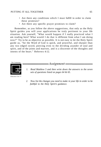#### PUTTING IT ALL TOGETHER 65

- Are there any conditions which I must fulfill in order to claim these promises?
- Are there any specific prayer promises to claim?

Remember, as you follow the above suggestions, that only as the Holy Spirit guides you will your applications be truly pertinent to your life situation. Ask yourself, "What would happen if I really practiced what I am reading here? What would I do that is different from what I am doing now?" Try to be as objective as possible. It is not easy to let the Holy Spirit guide us, "for the Word of God is quick, and powerful, and sharper than any two edged sword, piercing even to the dividing asunder of soul and spirit, and of the joints and marrow, and is a discerner of the thoughts and intents of the heart." Hebrews 4:12.



Education Unit

- -Assignment-
- *1. Read Matthew 5 and then write down the answers to the seven sets of questions listed on pages 64 & 65.*
- *2. Now list the changes you need to make in your life in order to be faithful to the Holy Spirit's guidance.*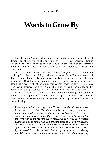## Chapter 11

# **Words to Grow By**

The old adage "we are what we eat" can apply not only to the physical dimension of life but to the spiritual as well. If our spiritual diet is impoverished and we try to feed our souls on the husks of the common place and uninspired, our minds and souls will become dwarfed and cheapened.

Do you know someone who in the last few years has demonstrated striking Christian growth? If you check the reason for it, I'm sure that you'll discover that deep, daily, and prayerful Bible study underlies all such spectacular Christian development. Peter counsels, "As newborn babes, desire the sincere milk of the word, that ye may grow thereby." 1 Peter 2:2. And Jesus informed the devil, "Man shall not live by bread alone, but by every word that proceedeth out of the mouth of God." Matthew 4:4.

What this book has been all about is demonstrating how you can develop a real appetite for Bible study in a practical way. Two counsels from the Lord especially indicate the need for doing so. The first tells us the following:

*If the people of God would appreciate His word, we should have a heaven in the church here below. Christians would be eager, hungry, to search the word. They would be anxious for time to compare Scripture with Scripture and to meditate upon the word. They would be more eager for the light of the word than for the morning paper, magazines or novels. Their greatest desire would be to eat the flesh and drink the blood of the Son of God. And as a result their lives would be conformed to the principles and promises of the word. Its instruction would be to them as the leaves of the tree of life. It would be in them a well of water, springing up into everlasting life. Refreshing showers of grace would refresh and revive the soul, causing*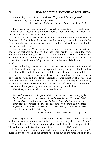*them to forget all toil and weariness. They would be strengthened and encouraged by the words of inspiration.* 

—Ellen White, *Testimonies for the Church,* vol. 8, p. 193.

Isn't that an exciting promise? Through a return to careful Bible study we can have "a heaven in the church here below" and actually partake of the "leaves of the tree of life" now.

The second major reason for us as church members to become especially familiar with the Bible at this time is so that we may clearly distinguish the false from the true in this age when we're being besieged on every side by insidious teachings.

For decades the Western world has been so wrapped in the stifling cocoon of technology that religion has been pretty well excluded from everyday life and thought. Because of the tremendous promise of scientific advance, a large number of people decided they didn't need God or the hope of a future heaven. Why, heaven was to be established on earth right now!

Then technology seemed to turn on us. Nuclear weapons, environmental pollution, and cancer-producing agents in many things technology has provided pulled out all our props and left us with uncertainty and fear.

Since the old values had been thrown away, modern man was left with no place to turn; and the devil—actually a large number of devils—has filled the vacuum. This is evident in the current popularity of the occult, astrology, oriental mysticism, TM, and the rise of the cults. We are now surrounded by a growing bombardment of daily satanic lies.

Therefore, it is truer than it ever has been that:

*We need to search the Scriptures daily, that we may know the way of the*  Lord, and that we be not deceived by religious fallacies. The world is full *of false theories and seductive spiritualistic ideas, which tend to destroy clear spiritual perception, and to lead away from truth and holiness. Especially at this time do we need to heed the warning, "Let no man deceive you with vain words" (Eph. 5:6).* 

—Ellen White, *Selected Messages,* bk. 1, p. 170.

The tragedy today is that even among those Christians who without question receive the Bible "as it is in truth, the word of God" (1 Thessalonians 2:13) so many neglect to follow the example of the Thessalonians and give it a chance to work "effectually" in them.

It isn't so much that we don't feel the need, but too often we just don't quite know how to go about getting the most out of the time we do spend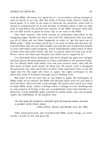#### WORDS TO GROW BY 69

with the Bible. We know it's "good for us"; so we make a valiant attempt to read as much as we can. But this kind of forced study doesn't really do much good. It is only as we learn to discover for ourselves what God is trying to communicate to us and become so thrilled about it that we take time to dig below the picked-over surface of the Bible treasure chest that we can find words to grow by every day as we turn to the Bible.

One final caution. The wide variety of techniques described in the foregoing pages should not leave you with the impression that you must use all of them and use them frequently in order to "get the most out of Bible study." What we hope you'll do is try each of them and discover for yourself those that you can most readily use and that are of particular benefit to your individual study program. You'll undoubtedly adapt many of them to meet your particular needs, and this is exactly what we want you to do. Never, never use them just because you think you're supposed to!

I've described those techniques that have helped me gain new insights and have given me great pleasure as I have used them in my personal study. As I've shared them with others over the past several years, they tell me that many of them work nicely for them too. Of course, each is designed for particular use; and you'll have to learn from experience how to use the right tool for the right job—how to apply the right technique to the particular kind of Scripture passage you're dealing with.

But most of all we trust that as you begin to apply the techniques of Bible study we've shared, the Bible will become more alive for you than it ever has been. But even that is not enough. No matter how much you come to enjoy Bible study, unless it brings about a change in your thinking and in your pattern of living, it has not accomplished what God intends it to. However, if you faithfully apply yourself to careful study, you can certainly expect the fulfillment of the promise that:

*He who opens the Scriptures, and feeds upon the heavenly manna, becomes a partaker of the divine nature.* 

—Ellen White, *Review and Herald,* June 28, 1892.

Only need-motivated and God-directed Bible study brings us God's words—words to live and grow by.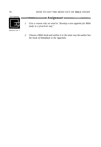### 70 HOW TO GET THE MOST OUT OF BIBLE STUDY



- *1. Give a reason why we need to "develop a new appetite for Bible study in a practical way."* 
	- *2. Choose a Bible book and outline it in the same way the author has the book of Habakkuk in the Appendix.*

 $-Assignment -$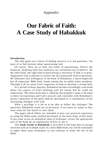# Appendix

# **Our Fabric of Faith: A Case Study of Habakkuk**

#### **Introduction**

The only good way I know of finding answers is to ask questions. Yet most of us feel hesitant about questioning God.

Of course, there are at least two kinds of questioning. There's the skeptical, doubting kind that reinforces our inclination not to believe. On the other hand, the right kind of questioning is necessary if faith is to grow. Apparently God is pleased to answer the last-mentioned kind of questions. He illustrates this willingness in the book of Habakkuk, a much-neglected but all important Bible book found among the so-called minor prophets. Through it all we sense God's eagerness to help us develop a strong faith.

In a period of deep apostasy Habakkuk became exceedingly concerned about two aspects of God's dealings with his nation that he could not understand. The entire book that is called by this prophet's name is devoted to these two questions and God's answers and concludes with Habakkuk's joyous expression of the great faith he developed as a consequence of his fascinating dialogue with God.

What a privilege it is for us to be able to follow this dialogue! The questions Habakkuk raised are as pertinent, if not more so, today as they were when he first dared to raise them.

The pages which follow are intended to give you practical experience in using the Bible-study method developed in the main body of this book. If you come across an unfamiliar chart or technique, review the appropriate part of the book for an explanation of how to use it.

The **Study Guide to Habakkuk** is provided in the hope that as you get involved with an in-depth study of a short Bible book you will be stimulated to apply these same techniques as you continue to study the rest of the Bible.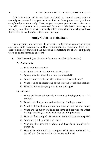After the study guide we have included an answer sheet; but we strongly recommend that you not even look at those pages until you have completed your own study. Then, as you compare your answers with ours, you will see that you have discovered for yourself the basic meaning of a passage, even though it will naturally differ somewhat from what we have discovered as we looked at the same passage.

## **Study Guide to Habakkuk**

From personal observation of the portion of Scripture you are studying and from Bible dictionaries or Bible Commentaries, complete this studyguide outline by answering the questions, completing the charts, and giving word or short-sentence answers.

**I. Background** (see chapter 4 for more detailed information)

#### **A. Authorship**

- 1. Who was the author?
- 2. At what time in his life was he writing?
- 3. Where was he when he wrote the material?
- 4. What characteristics of the author are revealed here?
- 5. What was he experiencing at the time he wrote this section?
- 6. What is the underlying tone of the passage?

#### **B. Purpose**

- 1. What do historical records indicate as background for this section?
- 2. What contribution do archaeological findings make?
- 3. What is the author's primary purpose in writing this book?
- 4. What are the major truths or concerns and convictions which he is presenting in order to bring out his purpose?
- 5. How has he arranged his material to emphasize his purpose?
- 6. What are the key words he uses?
- 7. Who are the intended readers, and how does this affect his purpose?
- 8. How does this emphasis compare with other works of this period (by the same author or other authors)?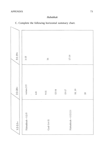## APPENDIX 73

## *Habakkuk*



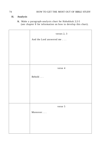### **II. Analysis**

**A.** Make a paragraph-analysis chart for Habakkuk 2:2-5 (see chapter 8 for information on how to develop this chart).

| verses 2, 3              |
|--------------------------|
| And the Lord answered me |
|                          |
|                          |
|                          |
|                          |
| verse 4                  |
|                          |
| Behold                   |
|                          |
|                          |
|                          |
|                          |
| verse 5                  |
| Moreover                 |
|                          |
|                          |
|                          |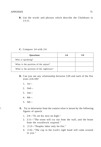**B.** List the words and phrases which describe the Chaldeans in  $1:5-11.$ 

#### **C.** Compare 1:4 with 2:4

| Questions                              | 1:4 | 2:4 |
|----------------------------------------|-----|-----|
| Who is speaking?                       |     |     |
| What is the position of the unjust?    |     |     |
| What is the position of the righteous? |     |     |

- **D.** Can you see any relationship between 2:20 and each of the five woes (2:6-19)?
	- 1. 1st—
	- 2. 2nd—
	- 3. 3rd—
	- 4. 4th—
	- 5. 5th—
- ! **E.** Try to determine from the context what is meant by the following figures of speech.
	- 1. 2:9—"To set his next on high."
	- 2. 2:11—"The stone will cry out from the wall, and the beam from the woodwork respond."
	- 3. 2:13—"Peoples labor only for fire."
	- 4. 2:16—"The cup in the Lord's right hand will come around to you."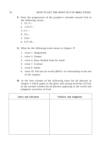#### 76 HOW TO GET THE MOST OUT OF BIBLE STUDY

- **F.** Note the progression of the prophet's attitude toward God in the following verses.
	- 1. 1:2, 3—
	- 2. 1:12-17—
	- $3.2:1-$
	- 4. 3:2—
	- 5. 3:16—
	- 6. 3:17-19—
- **G**. What do the following terms mean in chapter 3?
	- 1. verse 1. Shigionoth:
	- 2. verse 3. Teman:
	- 3. verse 4. Rays flashed from his hand:
	- 4. verse 7. Cushan:
	- 5. verse 9. Selah:
	- 6. verse 19. The last six words (RSV)—in relationship to the rest of the chapter:
- **H**. In the first column of the following chart list all phrases in chapter 3 which apply to the glory and saving activities of God. In the second column list all phrases applying to the wrath and judgment activities of God.

| Glory and Salvation | Violence and Judgment |
|---------------------|-----------------------|
|                     |                       |
|                     |                       |
|                     |                       |
|                     |                       |
|                     |                       |
|                     |                       |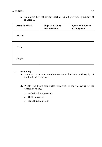| <b>Areas Involved</b> | <b>Objects of Glory</b><br>and Salvation | <b>Objects of Violence</b><br>and Judgment |
|-----------------------|------------------------------------------|--------------------------------------------|
| Heaven                |                                          |                                            |
| Earth                 |                                          |                                            |
| People                |                                          |                                            |

I. Complete the following chart using all pertinent portions of chapter 3.

### **III. Summary**

- **A.** Summarize in one complete sentence the basic philosophy of the book of Habakkuk.
- **B.** Apply the basic principles involved in the following to the Christian today.
	- 1. Habakkuk's questions.
	- 2. God's answers.
	- 3. Habakkuk's psalm.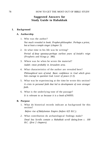## **Suggested Answers for Study Guide to Habakkuk**

#### **I. Background**

#### **A. Authorship**

- 1. Who was the author? *Not much revealed in book. Prophet-philosopher. Perhaps a priest, but at least a temple singer (chapter 3).*
- 2*.* At what time in his life was he writing? *Period of deep apostasy-perhaps earliest years of Josiah's reign*  (Prophets and Kings *p. 386).*
- 3. Where was he when he wrote the material? *Judah*—*most probably in Jerusalem area.*
- 4. What characteristics of the author are revealed here? *Philosophical turn of mind. Basic confidence in God which gives him courage to question God. Lover of peace (1:3).*
- 5. What was he experiencing at the time he wrote this section? *A crisis in personal faith that led to development of even stronger faith.*
- 6. What is the underlying tone of the passage? *It is relevant to us because it is a book of WHYS.*

#### **B. Purpose**

1. What do historical records indicate as background for this section?

*Before rise of Babylonian Empire (before 625 B.C.).* 

*2.* What contribution do archaeological findings make?

*Dead Sea Scrolls contain a Habakkuk scroll dating from c. 100 B.C. (first 2 chapters).*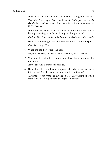- 3. What is the author's primary purpose in writing this passage? *That the Jews might better understand God's purpose in the Babylonian captivity. Demonstrates God in control of what happens to His people.*
- 4. What are the major truths or concerns and convictions which he is presenting in order to bring out his purpose?

*Faith in God leads to life; rebellion and wickedness lead to death.* 

- 5. How has he arranged his material to emphasize his purpose? *(See chart on p. 80.)*
- 6. What are the key words he uses? *Iniquity, violence, judgment, woe, salvation, trust, rejoice.*
- 7. Who are the intended readers, and how does this affect his purpose?

*Jews*—*but God's intent includes us.* 

8. How does this emphasis compare with the other works of this period (by the same author or other authors)?

*A synopsis of the gospel, as developed to a larger extent in Isaiah. More hopeful than judgment portrayed in Nahum.*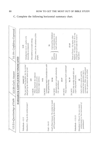

C. Complete the following horizontal summary chart.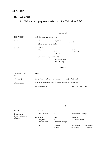## **II. Analysis**

## **A.** Make a paragraph-analysis chart for Habakkuk 2:2-5.

|                                      |                                                                                  | verses 2, 3                          |                                  |                            |
|--------------------------------------|----------------------------------------------------------------------------------|--------------------------------------|----------------------------------|----------------------------|
| THE VISION                           | And the Lord answered me:                                                        |                                      |                                  |                            |
| Plain                                | Write<br>the vision<br>so he may run who reads it.<br>Make it plain upon tablets |                                      |                                  |                            |
|                                      |                                                                                  |                                      |                                  |                            |
| Certain                              | <b>FOR STILL</b><br>The vision                                                   | awaits<br>hastens<br>will not        | its time,<br>to the end,<br>lie. |                            |
|                                      | (If it seem slow, wait for it,)                                                  |                                      |                                  |                            |
|                                      |                                                                                  | will surely come,<br>will not delay. |                                  |                            |
|                                      |                                                                                  | verse 4                              |                                  |                            |
| <b>CONTRAST IN</b><br><b>DESTINY</b> | Behold:                                                                          |                                      |                                  |                            |
| of wicked                            | He (whose soul is not upright in him) shall fail.                                |                                      |                                  |                            |
| of righteous                         | BUT (most important word in book, answers all questions)                         |                                      |                                  |                            |
|                                      | the righteous (one)<br>shall live by his faith                                   |                                      |                                  |                            |
|                                      |                                                                                  |                                      |                                  |                            |
|                                      |                                                                                  |                                      |                                  |                            |
|                                      |                                                                                  |                                      |                                  |                            |
|                                      |                                                                                  |                                      |                                  |                            |
|                                      |                                                                                  |                                      |                                  |                            |
|                                      |                                                                                  | verse 5                              |                                  |                            |
| <b>REASON</b>                        | Moreover:                                                                        |                                      |                                  |                            |
| Destruction<br>is natural result     | Wine (wealth)                                                                    | is                                   | treacherous (deceitful).         |                            |
| of evil.                             | Arrogant man<br>His greed<br>(it) like death                                     | shall<br>is<br>never has enough.     | not abide.<br>as wide as Sheol;  |                            |
|                                      | He                                                                               | gathers<br>collects                  | all nations<br>all peoples       | for himself,<br>as his own |
|                                      |                                                                                  |                                      |                                  |                            |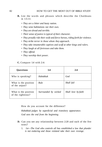- **B.** List the words and phrases which describe the Chaldeans in 1:5-11:
	- • *They are a bitter and hasty nation.*
	- • *They seize habitations not their own.*
	- • *They are dread and terrible.*
	- • *Their sense of justice is typical of their character.*
	- *They proudly ride their swift and fierce horses, riding forth for violence.*
	- • *They strike terror in those whom they approach.*
	- • *They take innumerable captives and scoff at other kings and rulers.*
	- • *They laugh at all fortresses and take them.*
	- • *They offend.*
	- • *They worship their power.*

#### **C.** Compare 1:4 with 2:4:

| Questions                                 | 1:4                  | 2:4                 |
|-------------------------------------------|----------------------|---------------------|
| Who is speaking?                          | Habakkuk             | God                 |
| What is the position<br>of the unjust?    | Rule                 | Shall fail          |
| What is the position<br>of the righteous? | Surrounded by wicked | Shall love by faith |

How do you account for the difference?

*Habakkuk judges by superficial and transitory appearance. God sees the end from the beginning.* 

- **D.** Can you see any relationship between 2:20 and each of the five woes?
	- 1. *1st*—*The God who controls all has established a law that plunder is not enduring and those violated take their own revenge.*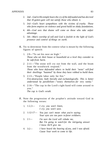- 2. 2*nd*—*God in His temple hears the cry of the defrauded and has decreed that ill-gotten gain will not satisfy those who obtain it.*
- 3. *3rd*—*God's heart sympathizes with the victims of cruelty. Those who form empires on violence and greed build on shaky foundations.*
- 4. *4th*—*God sees that shame will come on those who take unfair advantage.*
- *5. 5th*—*Man's worship of self and God is foolish in the light of God's presence and control of things on earth.*
- **E.** Try to determine from the context what is meant by the following figures of speech:
	- 1. 2:9—"To set his nest on high." *Those who set their house or household on a level they consider to be safe from harm.*
	- *2.* 2:11—"The stone will cry out from the wall, and the beam from the woodwork respond." *Those who have defrauded others to build their "nests" will find their dwellings "haunted" by those they have robbed to build them.*
	- 3. 2:13—"People labor only for fire." *Fire-destruction, both literally and eschatologically. This is better understood by parallelism*—*"weary themselves for very vanity."*
	- 4. 2:16—"The cup in the Lord's right hand will come around to you." *The cup is God's wrath.*
- **F.** Note the progression of the prophet's attitude toward God in the following verses:
	- 1. 1:2,3— *I cry; you won't listen, I cry; you won't save.*
	- 2. 1:12-17— *You just can't mean what you're saying; Your eyes are too pure to favor evildoers.*
	- 3. 2:1— *I'm sure the Lord will rebuke me, But I'm going to watch for the intriguing answer I know He'll give me.*
	- 4. 3:2— *I have heard the hearing of you, and I was afraid. Cause Your work to come to life.*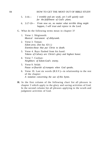#### 84 **HOW TO GET THE MOST OUT OF BIBLE STUDY**

- 5. 3:16— *I tremble and am weak, yet I will quietly wait for the fulfillment of God's plans.*
- 6. 3:17-19— *From now on, no matter what terrible thing might happen, I will trust and rejoice in the Lord.*
- G. What do the following terms mean in chapter 3?
	- 1. Verse 1. Shigionoth: *Musical instrument of dithyramb.*
	- 2. Verse 3. Teman: *Edom area. (See Isa. 63:1.) Enemies-those that put Christ to death.*
	- 3. Verse 4. Rays flashed from his hand: *Tokens of Calvary are Christ's glory and highest honor.*
	- 4. Verse 7. Cushan: *Neighbors of Edom-God's enemy.*
	- 5. Verse 9. Selah: *Pause or flourish of trumpets when God speaks.*
	- 6. Verse 19. Last six words (R.S.V.)—in relationship to the rest of the chapter: *A notation concerning the use of this hymn.*
- **H.** In the first column of the following chart list all phrases in chapter 3 which apply to the glory and saving activities of God. In the second column list all phrases applying to the wrath and judgment activities of God.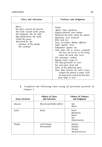| <b>Glory and Salvation</b>                                                                                                                                                                                                      | Violence and Judgment                                                                                                                                                                                                                                                                                                                                                                                                                                                                                                                                                                                                                                            |
|---------------------------------------------------------------------------------------------------------------------------------------------------------------------------------------------------------------------------------|------------------------------------------------------------------------------------------------------------------------------------------------------------------------------------------------------------------------------------------------------------------------------------------------------------------------------------------------------------------------------------------------------------------------------------------------------------------------------------------------------------------------------------------------------------------------------------------------------------------------------------------------------------------|
| Mercy<br>His glory covered the heavens<br>The earth was full of His praise<br>His brightness like the light<br>Rays flashed from His hand<br>Veiled His power<br>Went forth for the<br>salvation of Thy people;<br>Thy anointed | Wrath<br>Before Him-pestilence<br>Plagues followed close behind<br>Measured the earth, shook the nations<br>Mountains were scattered<br>Hills sank low<br>Tents of Cushan, Midian afflicted<br>Anger against rivers<br>Indignation against sea<br>Thou didst ride in victory, unsheath<br>Thy bow, put arrows to the string,<br>cleave the earth with rivers<br>The mountains writhed<br>Raging waters swept on<br>The deep gave forth its voice<br>Sun and moon stood still<br>Flash of Thy glittering spear<br>Thou didst bestride the earth in fury<br><i>trample the nations in anger crush</i><br>the head of the wicked lay him bare<br>from thigh to neck |

**I.** Complete the following chart using all pertinent portions of chapter 3.

| <b>Areas Involved</b> | <b>Objects of Glory</b><br>and Salvation | <b>Objects of Violence</b><br>and Judgment                         |
|-----------------------|------------------------------------------|--------------------------------------------------------------------|
| Heaven                | Heavens (probably stellar)               | Sun<br>Moon                                                        |
| Earth                 | Earth                                    | Earth<br><i>Mountains</i><br><b>Rivers</b><br>Sea<br>Deep (waters) |
| People                | God's People<br>His anointed             | <b>Nations</b><br>Heathen<br>Wicked<br>Wicked warriors             |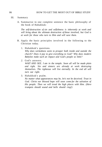#### III. Summary

A. Summarize in one complete sentence the basic philosophy of the book of Habakkuk:

*The self-destruction of sin and selfishness is inherently at work and will bring about the ultimate destruction of those involved, but God is at work for those who turn to Him and will save them.* 

- B. Apply the basic principles involved in the following to the Christian today.
	- 1. Habakkuk's questions.

*Why does wickedness seem to prosper both inside and outside the church? Does it pay to give everything to God? Why does modern Babylon make such an impact and God's people so little?* 

*2.* God's answers.

*WAIT AND SEE. I am in the temple. Soon all will be made plain and right. Sin and sinners are already at work destroying themselves. The righteous will live eternally. In the end all will turn out right.* 

3. Habakkuk's psalm.

*No matter what appearances may be, let's not be deceived. Trust in God. Christ our blessed hope will soon come for the salvation of His people. Then we will tread the high places with Him. (Here trumpets should sound and bells should ring!)*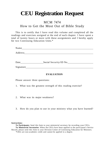# **CEU Registration Request**

# MCM 7474 How to Get the Most Out of Bible Study

This is to certify that I have read this volume and completed all the readings and exercises assigned at the end of each chapter. I have spent a total of twenty hours or more with these assignments and I hereby apply for two Continuing Education Units.\*

| Name      |                        |  |
|-----------|------------------------|--|
| Address   |                        |  |
|           |                        |  |
|           |                        |  |
| Date      | Social Security/ID No. |  |
| Signature |                        |  |

#### **EVALUATION**

Please answer three questions:

- 1. What was the greatest strength of this reading exercise?
- 2. What was its major weakness?
- 3. How do you plan to use in your ministry what you have learned?

**Instructions:** 

**To Participants:** Send this form to your ministerial secretary for recording your CEUs. **To Ministerial Secretaries:** When the CEUs have been applied to the participant's Service Record, please send this form to your Division Center of Continuing Education for Ministers. \*CEUs are non-academic credit and cannot be applied to a degree.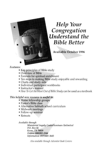# **Help Your** Congregation **Understand the Bible Better**

## **Available October 1996**

### Features:

• Key principles of Bible study

FERNON RETZER & MIKE SPEEGLE

- Overview of Bible
- Formula for spiritual enrichment
- Ten steps to making Bible study enjoyable and rewarding
- Charts and study aids
- · Individual participant workbooks
- · Instructor's manual
- How To Get the Most Out of Bible Study can be used as a textbook

## This helpful new resource is useful in:

- Home fellowship groups
- Pastor's Bible class
- · Alternative Sabbath school curriculum
- · Midweek meetings
- Follow-up seminar
- Retreats

Available through

Ministerial Supply Center/Seminars Unlimited  $P.O. Box 66$ Keene, TX 76059 Orders (800)982-3344 Information (817) 641-3643

Also available through Adventist Book Centers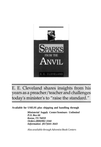

E. E. Cleveland shares insights from his years as a preacher/teacher and challenges today's minister's to "raise the standard."

**Available for US\$5.95 plus shipping and handling through** 

*Ministerial Supply Center/Seminars Unlimited P.O. Box 66 Keene, TX 76059 Orders (800)982-3344 Information (817)641-3643* 

*Also available through Adventist Book Centers*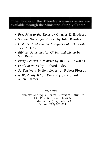## Other books in the Ministry Releases series are available through the Ministerial Supply Center.

- • *Preaching to the Times* by Charles E. Bradford
- • *Success Secrets for Pastors* by John Rhodes
- • *Pastor's Handbook on Interpersonal Relationships*  by Jard DeVille
- • *Biblical Principles for Giving and Living* by Mel Reese
- • *Every Believer a Minister* by Rex D. Edwards
- • *Perils of Power* by Richard Exley
- • *So You Want To Be a Leader* by Robert Pierson
- • *It Won't Fly If You Don't Try* by Richard Allen Farmer

*Order from* 

Ministerial Supply Center/Seminars Unlimited P.O. Box 66, Keene, TX 76059 Information (817) 641-3643 Orders (800) 982-3344